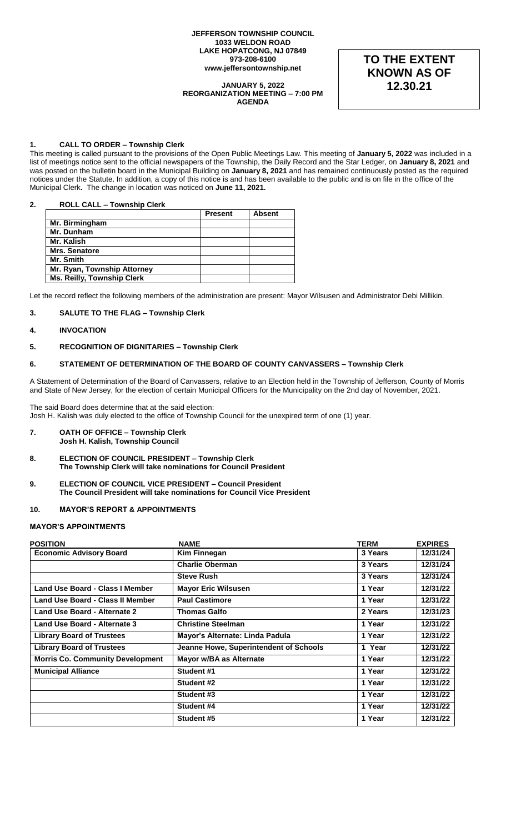#### **JEFFERSON TOWNSHIP COUNCIL 1033 WELDON ROAD LAKE HOPATCONG, NJ 07849 973-208-6100 www.jeffersontownship.net**

#### **JANUARY 5, 2022 REORGANIZATION MEETING – 7:00 PM AGENDA**

**TO THE EXTENT KNOWN AS OF 12.30.21**

# **1. CALL TO ORDER – Township Clerk**

This meeting is called pursuant to the provisions of the Open Public Meetings Law. This meeting of **January 5, 2022** was included in a list of meetings notice sent to the official newspapers of the Township, the Daily Record and the Star Ledger, on **January 8, 2021** and was posted on the bulletin board in the Municipal Building on **January 8, 2021** and has remained continuously posted as the required notices under the Statute. In addition, a copy of this notice is and has been available to the public and is on file in the office of the Municipal Clerk**.** The change in location was noticed on **June 11, 2021.** 

# **2. ROLL CALL – Township Clerk**

|                                   | <b>Present</b> | <b>Absent</b> |
|-----------------------------------|----------------|---------------|
| Mr. Birmingham                    |                |               |
| Mr. Dunham                        |                |               |
| Mr. Kalish                        |                |               |
| <b>Mrs. Senatore</b>              |                |               |
| Mr. Smith                         |                |               |
| Mr. Ryan, Township Attorney       |                |               |
| <b>Ms. Reilly, Township Clerk</b> |                |               |

Let the record reflect the following members of the administration are present: Mayor Wilsusen and Administrator Debi Millikin.

# **3. SALUTE TO THE FLAG – Township Clerk**

# **4. INVOCATION**

#### **5. RECOGNITION OF DIGNITARIES – Township Clerk**

# **6. STATEMENT OF DETERMINATION OF THE BOARD OF COUNTY CANVASSERS – Township Clerk**

A Statement of Determination of the Board of Canvassers, relative to an Election held in the Township of Jefferson, County of Morris and State of New Jersey, for the election of certain Municipal Officers for the Municipality on the 2nd day of November, 2021.

The said Board does determine that at the said election: Josh H. Kalish was duly elected to the office of Township Council for the unexpired term of one (1) year.

- **7. OATH OF OFFICE – Township Clerk Josh H. Kalish, Township Council**
- **8. ELECTION OF COUNCIL PRESIDENT – Township Clerk The Township Clerk will take nominations for Council President**
- **9. ELECTION OF COUNCIL VICE PRESIDENT – Council President The Council President will take nominations for Council Vice President**

#### **10. MAYOR'S REPORT & APPOINTMENTS**

# **MAYOR'S APPOINTMENTS**

| <b>POSITION</b>                         | <b>NAME</b>                            | <b>TERM</b> | <b>EXPIRES</b> |
|-----------------------------------------|----------------------------------------|-------------|----------------|
| <b>Economic Advisory Board</b>          | Kim Finnegan                           | 3 Years     | 12/31/24       |
|                                         | <b>Charlie Oberman</b>                 | 3 Years     | 12/31/24       |
|                                         | <b>Steve Rush</b>                      | 3 Years     | 12/31/24       |
| Land Use Board - Class I Member         | <b>Mayor Eric Wilsusen</b>             | 1 Year      | 12/31/22       |
| Land Use Board - Class II Member        | <b>Paul Castimore</b>                  | 1 Year      | 12/31/22       |
| Land Use Board - Alternate 2            | <b>Thomas Galfo</b>                    | 2 Years     | 12/31/23       |
| Land Use Board - Alternate 3            | <b>Christine Steelman</b>              | 1 Year      | 12/31/22       |
| <b>Library Board of Trustees</b>        | Mayor's Alternate: Linda Padula        | 1 Year      | 12/31/22       |
| <b>Library Board of Trustees</b>        | Jeanne Howe, Superintendent of Schools | 1 Year      | 12/31/22       |
| <b>Morris Co. Community Development</b> | Mayor w/BA as Alternate                | 1 Year      | 12/31/22       |
| <b>Municipal Alliance</b>               | Student #1                             | 1 Year      | 12/31/22       |
|                                         | Student #2                             | 1 Year      | 12/31/22       |
|                                         | Student #3                             | 1 Year      | 12/31/22       |
|                                         | Student #4                             | 1 Year      | 12/31/22       |
|                                         | Student #5                             | 1 Year      | 12/31/22       |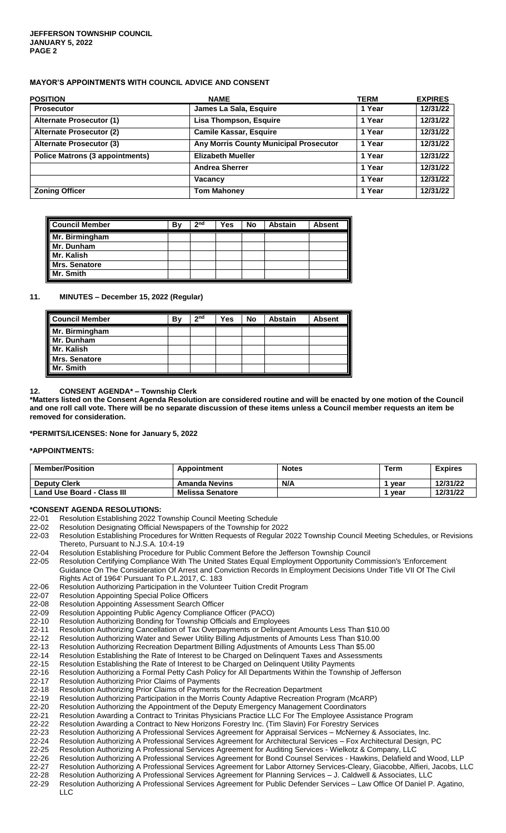# **MAYOR'S APPOINTMENTS WITH COUNCIL ADVICE AND CONSENT**

| <b>POSITION</b>                        | <b>NAME</b>                                   | <b>TERM</b> | <b>EXPIRES</b> |
|----------------------------------------|-----------------------------------------------|-------------|----------------|
| <b>Prosecutor</b>                      | James La Sala, Esquire                        | 1 Year      | 12/31/22       |
| <b>Alternate Prosecutor (1)</b>        | <b>Lisa Thompson, Esquire</b>                 | 1 Year      | 12/31/22       |
| <b>Alternate Prosecutor (2)</b>        | <b>Camile Kassar, Esquire</b>                 | 1 Year      | 12/31/22       |
| <b>Alternate Prosecutor (3)</b>        | <b>Any Morris County Municipal Prosecutor</b> | 1 Year      | 12/31/22       |
| <b>Police Matrons (3 appointments)</b> | <b>Elizabeth Mueller</b>                      | 1 Year      | 12/31/22       |
|                                        | <b>Andrea Sherrer</b>                         | 1 Year      | 12/31/22       |
|                                        | Vacancy                                       | 1 Year      | 12/31/22       |
| <b>Zoning Officer</b>                  | <b>Tom Mahoney</b>                            | 1 Year      | 12/31/22       |

| <b>Council Member</b>                     | B٧ | 2 <sub>nd</sub> | Yes | No | <b>Abstain</b> | <b>Absent</b> |
|-------------------------------------------|----|-----------------|-----|----|----------------|---------------|
| Mr. Birmingham                            |    |                 |     |    |                |               |
|                                           |    |                 |     |    |                |               |
| Mr. Dunham<br>Mr. Kalish<br>Mrs. Senatore |    |                 |     |    |                |               |
|                                           |    |                 |     |    |                |               |
| Mr. Smith                                 |    |                 |     |    |                |               |

# **11. MINUTES – December 15, 2022 (Regular)**

| <b>Council Member</b> | Βv | 2 <sub>nd</sub> | <b>Yes</b> | No | <b>Abstain</b> | <b>Absent</b> |
|-----------------------|----|-----------------|------------|----|----------------|---------------|
| Mr. Birmingham        |    |                 |            |    |                |               |
| Mr. Dunham            |    |                 |            |    |                |               |
| Mr. Kalish            |    |                 |            |    |                |               |
| <b>Mrs. Senatore</b>  |    |                 |            |    |                |               |
| Mr. Smith             |    |                 |            |    |                |               |

# **12. CONSENT AGENDA\* – Township Clerk**

**\*Matters listed on the Consent Agenda Resolution are considered routine and will be enacted by one motion of the Council and one roll call vote. There will be no separate discussion of these items unless a Council member requests an item be removed for consideration.**

**\*PERMITS/LICENSES: None for January 5, 2022**

#### **\*APPOINTMENTS:**

| <b>Member/Position</b>            | Appointment             | <b>Notes</b> | <b>Term</b> | <b>Expires</b> |
|-----------------------------------|-------------------------|--------------|-------------|----------------|
| <b>Deputy Clerk</b>               | <b>Amanda Nevins</b>    | N/A          | vear        | 12/31/22       |
| <b>Land Use Board - Class III</b> | <b>Melissa Senatore</b> |              | vear        | 12/31/22       |

# **\*CONSENT AGENDA RESOLUTIONS:**

- [22-01](file://///jeffdata16/clerk/Council%20Documents/Meetings/2018%20Meetings/1.%20%20January%203%20%20%20Reorg/Consent%20Agenda%20%20Reorg/CA%2018-01%20Meeting%20Schedule) Resolution Establishing 2022 Township Council Meeting Schedule<br>22-02 Resolution Designating Official Newspapers of the Township for 20
- Resolution Designating Official Newspapers of the Township for 2022
- [22-03](file://///jeffdata16/clerk/Council%20Documents/Meetings/2018%20Meetings/1.%20%20January%203%20%20%20Reorg/Consent%20Agenda%20%20Reorg/CA%2018-03%20Procedures%20for%20Notices) Resolution Establishing Procedures for Written Requests of Regular 2022 Township Council Meeting Schedules, or Revisions Thereto, Pursuant to N.J.S.A. 10:4-19
- 22-04 Resolution Establishing Procedure for Public Comment Before the Jefferson Township Council
- 22-05 Resolution Certifying Compliance With The United States Equal Employment Opportunity Commission's 'Enforcement Guidance On The Consideration Of Arrest and Conviction Records In Employment Decisions Under Title VII Of The Civil Rights Act of 1964' Pursuant To P.L.2017, C. 183
- [22-06](file://///jeffdata16/clerk/Council%20Documents/Meetings/2018%20Meetings/1.%20%20January%203%20%20%20Reorg/Consent%20Agenda%20%20Reorg/CA%2018-06%20Volunteer%20Tuition%20Credit%20Program) Resolution Authorizing Participation in the Volunteer Tuition Credit Program
- 22-07 Resolution Appointing Special Police Officers
- [22-08](file://///jeffdata16/clerk/Council%20Documents/Meetings/2018%20Meetings/1.%20%20January%203%20%20%20Reorg/Consent%20Agenda%20%20Reorg/CA%2018-08%20Appoint%20Assessment%20Search%20Officer) Resolution Appointing Assessment Search Officer
- 
- 22-09 Resolution Appointing Public Agency Compliance Officer (PACO)<br>22-10 Resolution Authorizing Bonding for Township Officials and Emplo Resolution Authorizing Bonding for Township Officials and Employees
- [22](file://///jeffdata16/clerk/Council%20Documents/Meetings/2018%20Meetings/1.%20%20January%203%20%20%20Reorg/Consent%20Agenda%20%20Reorg/CA%2018-13%20Cancellation%20of%20Tax%20Overpayments)-11 Resolution Authorizing Cancellation of Tax Overpayments or Delinquent Amounts Less Than \$10.00<br>22-12 Resolution Authorizing Water and Sewer Utility Billing Adjustments of Amounts Less Than \$10.00
- Resolution Authorizing Water and Sewer Utility Billing Adjustments of Amounts Less Than \$10.00
- [22-13](file://///jeffdata16/clerk/Council%20Documents/Meetings/2018%20Meetings/1.%20%20January%203%20%20%20Reorg/Consent%20Agenda%20%20Reorg/CA%2018-15%20Recreation%20Billing%20Adjustments) Resolution Authorizing Recreation Department Billing Adjustments of Amounts Less Than \$5.00<br>22-14 Resolution Establishing the Rate of Interest to be Charged on Delinquent Taxes and Assessmen
- [22-14](file://///jeffdata16/clerk/Council%20Documents/Meetings/2018%20Meetings/1.%20%20January%203%20%20%20Reorg/Consent%20Agenda%20%20Reorg/CA%2018-16%20Rate%20of%20Interest%20for%20Delinquent%20Taxes) Resolution Establishing the Rate of Interest to be Charged on Delinquent Taxes and Assessments<br>22-15 Resolution Establishing the Rate of Interest to be Charged on Delinquent Utility Payments
- [22-15](file://///jeffdata16/clerk/Council%20Documents/Meetings/2018%20Meetings/1.%20%20January%203%20%20%20Reorg/Consent%20Agenda%20%20Reorg/CA%2018-17%20Rate%20of%20Interest%20for%20Utility%20Payments) Resolution Establishing the Rate of Interest to be Charged on Delinquent Utility Payments<br>22-16 Resolution Authorizing a Formal Petty Cash Policy for All Departments Within the Townshi
- [22-16](file://///jeffdata16/clerk/Council%20Documents/Meetings/2018%20Meetings/1.%20%20January%203%20%20%20Reorg/Consent%20Agenda%20%20Reorg/CA%2018-20%20Petty%20Cash%20Policy) Resolution Authorizing a Formal Petty Cash Policy for All Departments Within the Township of Jefferson<br>22-17 Resolution Authorizing Prior Claims of Payments
- Resolution Authorizing Prior Claims of Payments
- [22-18](file://///jeffdata16/clerk/Council%20Documents/Meetings/2018%20Meetings/1.%20%20January%203%20%20%20Reorg/Consent%20Agenda%20%20Reorg/CA%2018-22%20Prior%20Payment%20for%20Recreation) Resolution Authorizing Prior Claims of Payments for the Recreation Department
- 22-19 Resolution Authorizing Participation in the Morris County Adaptive Recreation Program (McARP)
- [22-20](file://///jeffdata16/clerk/Council%20Documents/Meetings/2018%20Meetings/1.%20%20January%203%20%20%20Reorg/Consent%20Agenda%20%20Reorg/CA%2018-25%20Emergency%20Management%20Coordinator%20Appt) Resolution Authorizing the Appointment of the Deputy Emergency Management Coordinators
- [22-21](file://///jeffdata16/clerk/Council%20Documents/Meetings/2018%20Meetings/1.%20%20January%203%20%20%20Reorg/Consent%20Agenda%20%20Reorg/CA%2018-32%20Trinitas%20Employee%20Assistance%20Program) Resolution Awarding a Contract to Trinitas Physicians Practice LLC For The Employee Assistance Program
- 22-22 Resolution Awarding a Contract to New Horizons Forestry Inc. (Tim Slavin) For Forestry Services
- 22-23 Resolution Authorizing A Professional Services Agreement for Appraisal Services McNerney & Associates, Inc.<br>22-24 Resolution Authorizing A Professional Services Agreement for Architectural Services Fox Architectu Resolution Authorizing A Professional Services Agreement for Architectural Services – Fox Architectural Design, PC
- 22-25 Resolution Authorizing A Professional Services Agreement for Auditing Services Wielkotz & Company, LLC
- 
- 22-26 Resolution Authorizing A Professional Services Agreement for Bond Counsel Services Hawkins, Delafield and Wood, LLP<br>22-27 Resolution Authorizing A Professional Services Agreement for Labor Attorney Services-Cleary, 22-27 Resolution Authorizing A Professional Services Agreement for Labor Attorney Services-Cleary, Giacobbe, Alfieri, Jacobs, LLC
- 22-28 Resolution Authorizing A Professional Services Agreement for Planning Services J. Caldwell & Associates, LLC
- Resolution Authorizing A Professional Services Agreement for Public Defender Services Law Office Of Daniel P. Agatino, LLC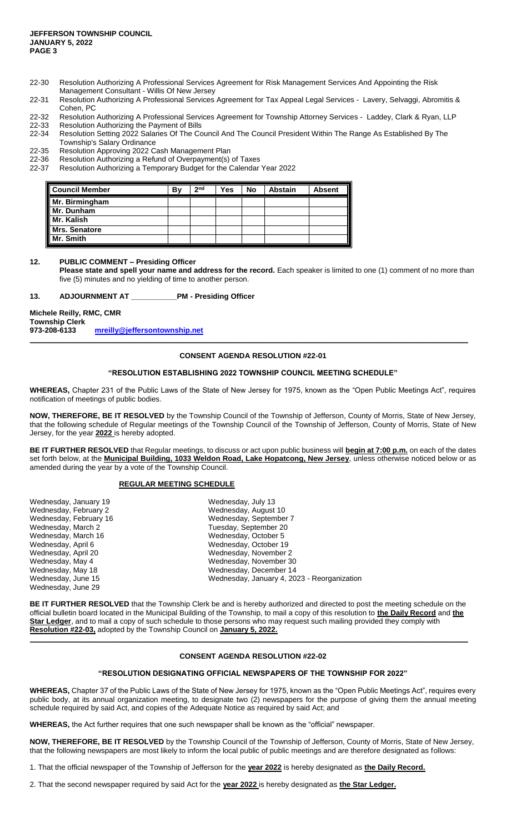- 22-30 Resolution Authorizing A Professional Services Agreement for Risk Management Services And Appointing the Risk Management Consultant - Willis Of New Jersey
- 22-31 Resolution Authorizing A Professional Services Agreement for Tax Appeal Legal Services Lavery, Selvaggi, Abromitis & Cohen, PC
- 22-32 Resolution Authorizing A Professional Services Agreement for Township Attorney Services Laddey, Clark & Ryan, LLP<br>22-33 Resolution Authorizing the Payment of Bills 22-33 Resolution Authorizing the Payment of Bills<br>22-34 Resolution Setting 2022 Salaries Of The Co
- Resolution Setting 2022 Salaries Of The Council And The Council President Within The Range As Established By The
- Township's Salary Ordinance
- 22-35 Resolution Approving 2022 Cash Management Plan
- 22-36 Resolution Authorizing a Refund of Overpayment(s) of Taxes
- 22-37 Resolution Authorizing a Temporary Budget for the Calendar Year 2022

| <b>Council Member</b> | B٧ | 2 <sub>nd</sub> | Yes | No | <b>Abstain</b> | <b>Absent</b> |
|-----------------------|----|-----------------|-----|----|----------------|---------------|
| Mr. Birmingham        |    |                 |     |    |                |               |
| Mr. Dunham            |    |                 |     |    |                |               |
| Mr. Kalish            |    |                 |     |    |                |               |
| Mrs. Senatore         |    |                 |     |    |                |               |
| Mr. Smith             |    |                 |     |    |                |               |

# **12. PUBLIC COMMENT – Presiding Officer**

**Please state and spell your name and address for the record.** Each speaker is limited to one (1) comment of no more than five (5) minutes and no yielding of time to another person.

#### **13. ADJOURNMENT AT \_\_\_\_\_\_\_\_\_\_\_PM - Presiding Officer**

**Michele Reilly, RMC, CMR**

**Township Clerk**

**973-208-6133 [mreilly@jeffersontownship.net](mailto:mreilly@jeffersontownship.net) \_\_\_\_\_\_\_\_\_\_\_\_\_\_\_\_\_\_\_\_\_\_\_\_\_\_\_\_\_\_\_\_\_\_\_\_\_\_\_\_\_\_\_\_\_\_\_\_\_\_\_\_\_\_\_\_\_\_\_\_\_\_\_\_\_\_\_\_\_\_\_\_\_\_\_\_\_\_\_\_\_\_\_\_\_\_\_\_\_\_\_\_\_\_\_\_\_\_\_\_\_\_\_\_\_\_**

# **CONSENT AGENDA RESOLUTION #22-01**

# **"RESOLUTION ESTABLISHING 2022 TOWNSHIP COUNCIL MEETING SCHEDULE"**

**WHEREAS,** Chapter 231 of the Public Laws of the State of New Jersey for 1975, known as the "Open Public Meetings Act", requires notification of meetings of public bodies.

**NOW, THEREFORE, BE IT RESOLVED** by the Township Council of the Township of Jefferson, County of Morris, State of New Jersey, that the following schedule of Regular meetings of the Township Council of the Township of Jefferson, County of Morris, State of New Jersey, for the year **2022** is hereby adopted.

**BE IT FURTHER RESOLVED** that Regular meetings, to discuss or act upon public business will **begin at 7:00 p.m.** on each of the dates set forth below, at the **Municipal Building, 1033 Weldon Road, Lake Hopatcong, New Jersey**, unless otherwise noticed below or as amended during the year by a vote of the Township Council.

#### **REGULAR MEETING SCHEDULE**

| Wednesday, January 19  | Wednesday, July 13                          |
|------------------------|---------------------------------------------|
| Wednesday, February 2  | Wednesday, August 10                        |
| Wednesday, February 16 | Wednesday, September 7                      |
| Wednesday, March 2     | Tuesday, September 20                       |
| Wednesday, March 16    | Wednesday, October 5                        |
| Wednesday, April 6     | Wednesday, October 19                       |
| Wednesday, April 20    | Wednesday, November 2                       |
| Wednesday, May 4       | Wednesday, November 30                      |
| Wednesday, May 18      | Wednesday, December 14                      |
| Wednesday, June 15     | Wednesday, January 4, 2023 - Reorganization |
| Wednesday, June 29     |                                             |

**BE IT FURTHER RESOLVED** that the Township Clerk be and is hereby authorized and directed to post the meeting schedule on the official bulletin board located in the Municipal Building of the Township, to mail a copy of this resolution to **the Daily Record** and **the Star Ledger**, and to mail a copy of such schedule to those persons who may request such mailing provided they comply with **Resolution #22-03,** adopted by the Township Council on **January 5, 2022.**

**\_\_\_\_\_\_\_\_\_\_\_\_\_\_\_\_\_\_\_\_\_\_\_\_\_\_\_\_\_\_\_\_\_\_\_\_\_\_\_\_\_\_\_\_\_\_\_\_\_\_\_\_\_\_\_\_\_\_\_\_\_\_\_\_\_\_\_\_\_\_\_\_\_\_\_\_\_\_\_\_\_\_\_\_\_\_\_\_\_\_\_\_\_\_\_\_\_\_\_\_\_\_\_\_\_\_**

# **CONSENT AGENDA RESOLUTION #22-02**

#### **"RESOLUTION DESIGNATING OFFICIAL NEWSPAPERS OF THE TOWNSHIP FOR 2022"**

**WHEREAS,** Chapter 37 of the Public Laws of the State of New Jersey for 1975, known as the "Open Public Meetings Act", requires every public body, at its annual organization meeting, to designate two (2) newspapers for the purpose of giving them the annual meeting schedule required by said Act, and copies of the Adequate Notice as required by said Act; and

**WHEREAS,** the Act further requires that one such newspaper shall be known as the "official" newspaper.

**NOW, THEREFORE, BE IT RESOLVED** by the Township Council of the Township of Jefferson, County of Morris, State of New Jersey, that the following newspapers are most likely to inform the local public of public meetings and are therefore designated as follows:

1. That the official newspaper of the Township of Jefferson for the **year 2022** is hereby designated as **the Daily Record.**

2. That the second newspaper required by said Act for the **year 2022** is hereby designated as **the Star Ledger.**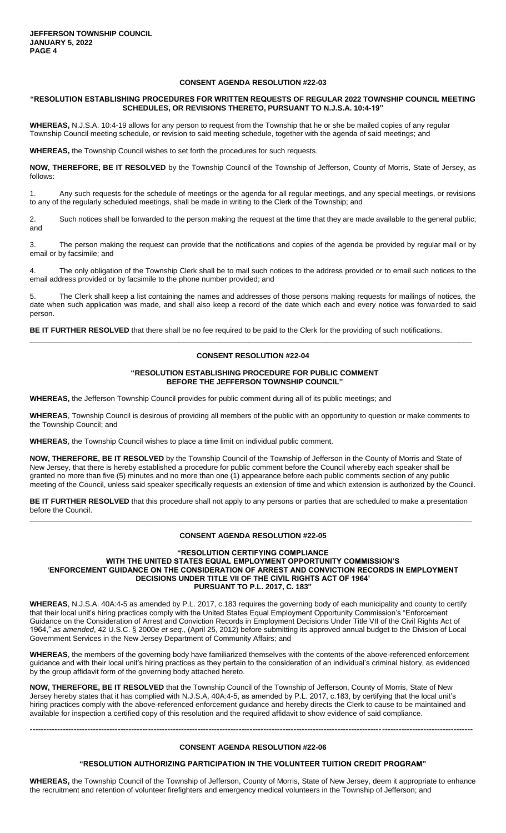#### **"RESOLUTION ESTABLISHING PROCEDURES FOR WRITTEN REQUESTS OF REGULAR 2022 TOWNSHIP COUNCIL MEETING SCHEDULES, OR REVISIONS THERETO, PURSUANT TO N.J.S.A. 10:4-19"**

**WHEREAS,** N.J.S.A. 10:4-19 allows for any person to request from the Township that he or she be mailed copies of any regular Township Council meeting schedule, or revision to said meeting schedule, together with the agenda of said meetings; and

**WHEREAS,** the Township Council wishes to set forth the procedures for such requests.

**NOW, THEREFORE, BE IT RESOLVED** by the Township Council of the Township of Jefferson, County of Morris, State of Jersey, as follows:

1. Any such requests for the schedule of meetings or the agenda for all regular meetings, and any special meetings, or revisions to any of the regularly scheduled meetings, shall be made in writing to the Clerk of the Township; and

2. Such notices shall be forwarded to the person making the request at the time that they are made available to the general public; and

3. The person making the request can provide that the notifications and copies of the agenda be provided by regular mail or by email or by facsimile; and

4. The only obligation of the Township Clerk shall be to mail such notices to the address provided or to email such notices to the email address provided or by facsimile to the phone number provided; and

5. The Clerk shall keep a list containing the names and addresses of those persons making requests for mailings of notices, the date when such application was made, and shall also keep a record of the date which each and every notice was forwarded to said person.

**BE IT FURTHER RESOLVED** that there shall be no fee required to be paid to the Clerk for the providing of such notifications.

# **CONSENT RESOLUTION #22-04**

\_\_\_\_\_\_\_\_\_\_\_\_\_\_\_\_\_\_\_\_\_\_\_\_\_\_\_\_\_\_\_\_\_\_\_\_\_\_\_\_\_\_\_\_\_\_\_\_\_\_\_\_\_\_\_\_\_\_\_\_\_\_\_\_\_\_\_\_\_\_\_\_\_\_\_\_\_\_\_\_\_\_\_\_\_\_\_\_\_\_\_\_\_\_\_\_\_\_\_\_\_\_\_\_\_\_\_

#### **"RESOLUTION ESTABLISHING PROCEDURE FOR PUBLIC COMMENT BEFORE THE JEFFERSON TOWNSHIP COUNCIL"**

**WHEREAS,** the Jefferson Township Council provides for public comment during all of its public meetings; and

**WHEREAS**, Township Council is desirous of providing all members of the public with an opportunity to question or make comments to the Township Council; and

**WHEREAS**, the Township Council wishes to place a time limit on individual public comment.

**NOW, THEREFORE, BE IT RESOLVED** by the Township Council of the Township of Jefferson in the County of Morris and State of New Jersey, that there is hereby established a procedure for public comment before the Council whereby each speaker shall be granted no more than five (5) minutes and no more than one (1) appearance before each public comments section of any public meeting of the Council, unless said speaker specifically requests an extension of time and which extension is authorized by the Council.

**BE IT FURTHER RESOLVED** that this procedure shall not apply to any persons or parties that are scheduled to make a presentation before the Council. **\_\_\_\_\_\_\_\_\_\_\_\_\_\_\_\_\_\_\_\_\_\_\_\_\_\_\_\_\_\_\_\_\_\_\_\_\_\_\_\_\_\_\_\_\_\_\_\_\_\_\_\_\_\_\_\_\_\_\_\_\_\_\_\_\_\_\_\_\_\_\_\_\_\_\_\_\_\_\_\_\_\_\_\_\_\_\_\_\_\_\_\_\_\_\_\_\_\_\_\_\_\_\_\_\_\_\_**

#### **CONSENT AGENDA RESOLUTION #22-05**

#### **"RESOLUTION CERTIFYING COMPLIANCE WITH THE UNITED STATES EQUAL EMPLOYMENT OPPORTUNITY COMMISSION'S 'ENFORCEMENT GUIDANCE ON THE CONSIDERATION OF ARREST AND CONVICTION RECORDS IN EMPLOYMENT DECISIONS UNDER TITLE VII OF THE CIVIL RIGHTS ACT OF 1964' PURSUANT TO P.L. 2017, C. 183"**

**WHEREAS**, N.J.S.A. 40A:4-5 as amended by P.L. 2017, c.183 requires the governing body of each municipality and county to certify that their local unit's hiring practices comply with the United States Equal Employment Opportunity Commission's "Enforcement Guidance on the Consideration of Arrest and Conviction Records in Employment Decisions Under Title VII of the Civil Rights Act of 1964," *as amended*, 42 U.S.C. § 2000e *et seq*., (April 25, 2012) before submitting its approved annual budget to the Division of Local Government Services in the New Jersey Department of Community Affairs; and

**WHEREAS**, the members of the governing body have familiarized themselves with the contents of the above-referenced enforcement guidance and with their local unit's hiring practices as they pertain to the consideration of an individual's criminal history, as evidenced by the group affidavit form of the governing body attached hereto.

**NOW, THEREFORE, BE IT RESOLVED** that the Township Council of the Township of Jefferson, County of Morris, State of New Jersey hereby states that it has complied with N.J.S.A. 40A:4-5, as amended by P.L. 2017, c.183, by certifying that the local unit's hiring practices comply with the above-referenced enforcement guidance and hereby directs the Clerk to cause to be maintained and available for inspection a certified copy of this resolution and the required affidavit to show evidence of said compliance.

#### **CONSENT AGENDA RESOLUTION #22-06**

**-----------------------------------------------------------------------------------------------------------------------------------------------------------------**

#### **"RESOLUTION AUTHORIZING PARTICIPATION IN THE VOLUNTEER TUITION CREDIT PROGRAM"**

**WHEREAS,** the Township Council of the Township of Jefferson, County of Morris, State of New Jersey, deem it appropriate to enhance the recruitment and retention of volunteer firefighters and emergency medical volunteers in the Township of Jefferson; and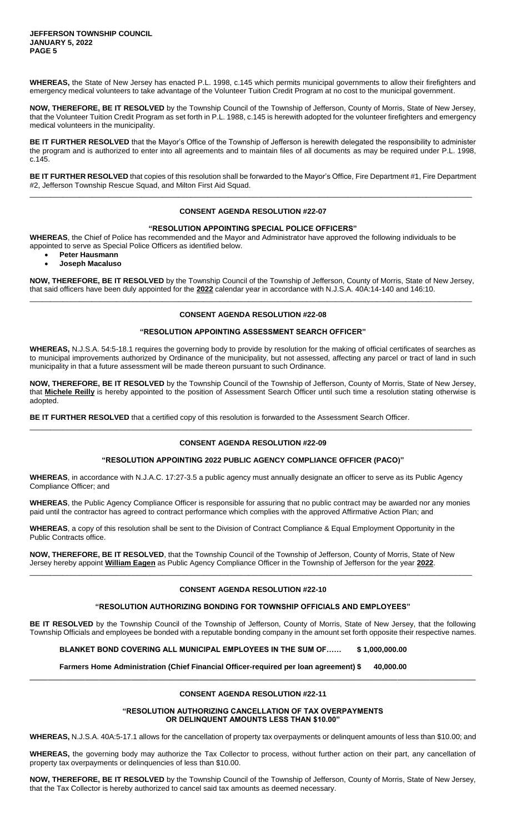**WHEREAS,** the State of New Jersey has enacted P.L. 1998, c.145 which permits municipal governments to allow their firefighters and emergency medical volunteers to take advantage of the Volunteer Tuition Credit Program at no cost to the municipal government.

**NOW, THEREFORE, BE IT RESOLVED** by the Township Council of the Township of Jefferson, County of Morris, State of New Jersey, that the Volunteer Tuition Credit Program as set forth in P.L. 1988, c.145 is herewith adopted for the volunteer firefighters and emergency medical volunteers in the municipality.

**BE IT FURTHER RESOLVED** that the Mayor's Office of the Township of Jefferson is herewith delegated the responsibility to administer the program and is authorized to enter into all agreements and to maintain files of all documents as may be required under P.L. 1998, c.145.

**BE IT FURTHER RESOLVED** that copies of this resolution shall be forwarded to the Mayor's Office, Fire Department #1, Fire Department #2, Jefferson Township Rescue Squad, and Milton First Aid Squad. \_\_\_\_\_\_\_\_\_\_\_\_\_\_\_\_\_\_\_\_\_\_\_\_\_\_\_\_\_\_\_\_\_\_\_\_\_\_\_\_\_\_\_\_\_\_\_\_\_\_\_\_\_\_\_\_\_\_\_\_\_\_\_\_\_\_\_\_\_\_\_\_\_\_\_\_\_\_\_\_\_\_\_\_\_\_\_\_\_\_\_\_\_\_\_\_\_\_\_\_\_\_\_\_\_\_\_

# **CONSENT AGENDA RESOLUTION #22-07**

#### **"RESOLUTION APPOINTING SPECIAL POLICE OFFICERS"**

**WHEREAS**, the Chief of Police has recommended and the Mayor and Administrator have approved the following individuals to be appointed to serve as Special Police Officers as identified below.

- **Peter Hausmann**
- **Joseph Macaluso**

**NOW, THEREFORE, BE IT RESOLVED** by the Township Council of the Township of Jefferson, County of Morris, State of New Jersey, that said officers have been duly appointed for the **2022** calendar year in accordance with N.J.S.A. 40A:14-140 and 146:10. \_\_\_\_\_\_\_\_\_\_\_\_\_\_\_\_\_\_\_\_\_\_\_\_\_\_\_\_\_\_\_\_\_\_\_\_\_\_\_\_\_\_\_\_\_\_\_\_\_\_\_\_\_\_\_\_\_\_\_\_\_\_\_\_\_\_\_\_\_\_\_\_\_\_\_\_\_\_\_\_\_\_\_\_\_\_\_\_\_\_\_\_\_\_\_\_\_\_\_\_\_\_\_\_\_\_\_

# **CONSENT AGENDA RESOLUTION #22-08**

# **"RESOLUTION APPOINTING ASSESSMENT SEARCH OFFICER"**

**WHEREAS,** N.J.S.A. 54:5-18.1 requires the governing body to provide by resolution for the making of official certificates of searches as to municipal improvements authorized by Ordinance of the municipality, but not assessed, affecting any parcel or tract of land in such municipality in that a future assessment will be made thereon pursuant to such Ordinance.

**NOW, THEREFORE, BE IT RESOLVED** by the Township Council of the Township of Jefferson, County of Morris, State of New Jersey, that **Michele Reilly** is hereby appointed to the position of Assessment Search Officer until such time a resolution stating otherwise is adopted.

**BE IT FURTHER RESOLVED** that a certified copy of this resolution is forwarded to the Assessment Search Officer.

# **CONSENT AGENDA RESOLUTION #22-09**

\_\_\_\_\_\_\_\_\_\_\_\_\_\_\_\_\_\_\_\_\_\_\_\_\_\_\_\_\_\_\_\_\_\_\_\_\_\_\_\_\_\_\_\_\_\_\_\_\_\_\_\_\_\_\_\_\_\_\_\_\_\_\_\_\_\_\_\_\_\_\_\_\_\_\_\_\_\_\_\_\_\_\_\_\_\_\_\_\_\_\_\_\_\_\_\_\_\_\_\_\_\_\_\_\_\_\_

# **"RESOLUTION APPOINTING 2022 PUBLIC AGENCY COMPLIANCE OFFICER (PACO)"**

**WHEREAS**, in accordance with N.J.A.C. 17:27-3.5 a public agency must annually designate an officer to serve as its Public Agency Compliance Officer; and

**WHEREAS**, the Public Agency Compliance Officer is responsible for assuring that no public contract may be awarded nor any monies paid until the contractor has agreed to contract performance which complies with the approved Affirmative Action Plan; and

**WHEREAS**, a copy of this resolution shall be sent to the Division of Contract Compliance & Equal Employment Opportunity in the Public Contracts office.

**NOW, THEREFORE, BE IT RESOLVED**, that the Township Council of the Township of Jefferson, County of Morris, State of New Jersey hereby appoint **William Eagen** as Public Agency Compliance Officer in the Township of Jefferson for the year **2022**. \_\_\_\_\_\_\_\_\_\_\_\_\_\_\_\_\_\_\_\_\_\_\_\_\_\_\_\_\_\_\_\_\_\_\_\_\_\_\_\_\_\_\_\_\_\_\_\_\_\_\_\_\_\_\_\_\_\_\_\_\_\_\_\_\_\_\_\_\_\_\_\_\_\_\_\_\_\_\_\_\_\_\_\_\_\_\_\_\_\_\_\_\_\_\_\_\_\_\_\_\_\_\_\_\_\_\_

# **CONSENT AGENDA RESOLUTION #22-10**

# **"RESOLUTION AUTHORIZING BONDING FOR TOWNSHIP OFFICIALS AND EMPLOYEES"**

**BE IT RESOLVED** by the Township Council of the Township of Jefferson, County of Morris, State of New Jersey, that the following Township Officials and employees be bonded with a reputable bonding company in the amount set forth opposite their respective names.

**BLANKET BOND COVERING ALL MUNICIPAL EMPLOYEES IN THE SUM OF…… \$ 1,000,000.00**

**Farmers Home Administration (Chief Financial Officer-required per loan agreement) \$ 40,000.00**

# **CONSENT AGENDA RESOLUTION #22-11**

 $\Box$ 

**"RESOLUTION AUTHORIZING CANCELLATION OF TAX OVERPAYMENTS OR DELINQUENT AMOUNTS LESS THAN \$10.00"**

**WHEREAS,** N.J.S.A. 40A:5-17.1 allows for the cancellation of property tax overpayments or delinquent amounts of less than \$10.00; and

**WHEREAS,** the governing body may authorize the Tax Collector to process, without further action on their part, any cancellation of property tax overpayments or delinquencies of less than \$10.00.

**NOW, THEREFORE, BE IT RESOLVED** by the Township Council of the Township of Jefferson, County of Morris, State of New Jersey, that the Tax Collector is hereby authorized to cancel said tax amounts as deemed necessary.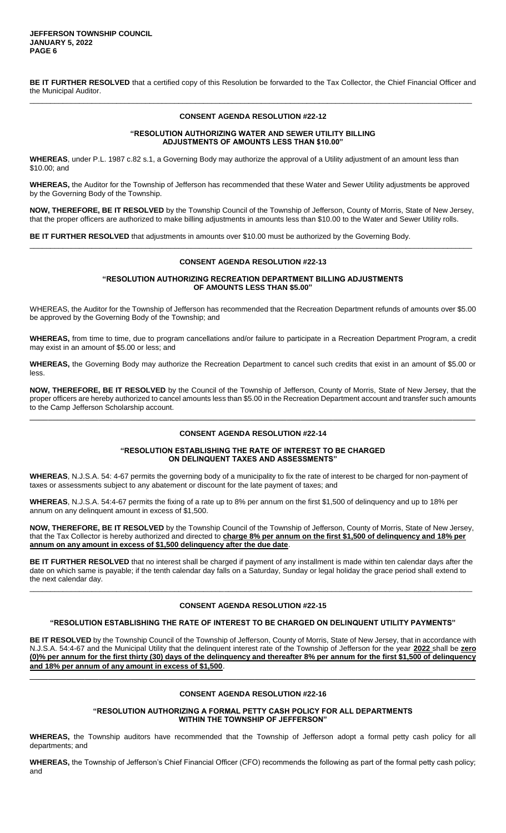**BE IT FURTHER RESOLVED** that a certified copy of this Resolution be forwarded to the Tax Collector, the Chief Financial Officer and the Municipal Auditor. \_\_\_\_\_\_\_\_\_\_\_\_\_\_\_\_\_\_\_\_\_\_\_\_\_\_\_\_\_\_\_\_\_\_\_\_\_\_\_\_\_\_\_\_\_\_\_\_\_\_\_\_\_\_\_\_\_\_\_\_\_\_\_\_\_\_\_\_\_\_\_\_\_\_\_\_\_\_\_\_\_\_\_\_\_\_\_\_\_\_\_\_\_\_\_\_\_\_\_\_\_\_\_\_\_\_\_

# **CONSENT AGENDA RESOLUTION #22-12**

# **"RESOLUTION AUTHORIZING WATER AND SEWER UTILITY BILLING ADJUSTMENTS OF AMOUNTS LESS THAN \$10.00"**

**WHEREAS**, under P.L. 1987 c.82 s.1, a Governing Body may authorize the approval of a Utility adjustment of an amount less than \$10.00; and

**WHEREAS,** the Auditor for the Township of Jefferson has recommended that these Water and Sewer Utility adjustments be approved by the Governing Body of the Township.

**NOW, THEREFORE, BE IT RESOLVED** by the Township Council of the Township of Jefferson, County of Morris, State of New Jersey, that the proper officers are authorized to make billing adjustments in amounts less than \$10.00 to the Water and Sewer Utility rolls.

**BE IT FURTHER RESOLVED** that adjustments in amounts over \$10.00 must be authorized by the Governing Body.

#### **CONSENT AGENDA RESOLUTION #22-13**

\_\_\_\_\_\_\_\_\_\_\_\_\_\_\_\_\_\_\_\_\_\_\_\_\_\_\_\_\_\_\_\_\_\_\_\_\_\_\_\_\_\_\_\_\_\_\_\_\_\_\_\_\_\_\_\_\_\_\_\_\_\_\_\_\_\_\_\_\_\_\_\_\_\_\_\_\_\_\_\_\_\_\_\_\_\_\_\_\_\_\_\_\_\_\_\_\_\_\_\_\_\_\_\_\_\_\_

# **"RESOLUTION AUTHORIZING RECREATION DEPARTMENT BILLING ADJUSTMENTS OF AMOUNTS LESS THAN \$5.00"**

WHEREAS, the Auditor for the Township of Jefferson has recommended that the Recreation Department refunds of amounts over \$5.00 be approved by the Governing Body of the Township; and

**WHEREAS,** from time to time, due to program cancellations and/or failure to participate in a Recreation Department Program, a credit may exist in an amount of \$5.00 or less; and

**WHEREAS,** the Governing Body may authorize the Recreation Department to cancel such credits that exist in an amount of \$5.00 or less.

**NOW, THEREFORE, BE IT RESOLVED** by the Council of the Township of Jefferson, County of Morris, State of New Jersey, that the proper officers are hereby authorized to cancel amounts less than \$5.00 in the Recreation Department account and transfer such amounts to the Camp Jefferson Scholarship account.

\_\_\_\_\_\_\_\_\_\_\_\_\_\_\_\_\_\_\_\_\_\_\_\_\_\_\_\_\_\_\_\_\_\_\_\_\_\_\_\_\_\_\_\_\_\_\_\_\_\_\_\_\_\_\_\_\_\_\_\_\_\_\_\_\_\_\_\_\_\_\_\_\_\_\_\_\_\_\_\_\_\_\_\_\_\_\_\_\_\_\_\_\_\_\_\_\_

#### **CONSENT AGENDA RESOLUTION #22-14**

# **"RESOLUTION ESTABLISHING THE RATE OF INTEREST TO BE CHARGED ON DELINQUENT TAXES AND ASSESSMENTS"**

**WHEREAS**, N.J.S.A. 54: 4-67 permits the governing body of a municipality to fix the rate of interest to be charged for non-payment of taxes or assessments subject to any abatement or discount for the late payment of taxes; and

**WHEREAS**, N.J.S.A. 54:4-67 permits the fixing of a rate up to 8% per annum on the first \$1,500 of delinquency and up to 18% per annum on any delinquent amount in excess of \$1,500.

**NOW, THEREFORE, BE IT RESOLVED** by the Township Council of the Township of Jefferson, County of Morris, State of New Jersey, that the Tax Collector is hereby authorized and directed to **charge 8% per annum on the first \$1,500 of delinquency and 18% per annum on any amount in excess of \$1,500 delinquency after the due date**.

**BE IT FURTHER RESOLVED** that no interest shall be charged if payment of any installment is made within ten calendar days after the date on which same is payable; if the tenth calendar day falls on a Saturday, Sunday or legal holiday the grace period shall extend to the next calendar day.

\_\_\_\_\_\_\_\_\_\_\_\_\_\_\_\_\_\_\_\_\_\_\_\_\_\_\_\_\_\_\_\_\_\_\_\_\_\_\_\_\_\_\_\_\_\_\_\_\_\_\_\_\_\_\_\_\_\_\_\_\_\_\_\_\_\_\_\_\_\_\_\_\_\_\_\_\_\_\_\_\_\_\_\_\_\_\_\_\_\_\_\_\_\_\_\_\_\_\_\_\_\_\_\_\_\_\_

# **CONSENT AGENDA RESOLUTION #22-15**

# **"RESOLUTION ESTABLISHING THE RATE OF INTEREST TO BE CHARGED ON DELINQUENT UTILITY PAYMENTS"**

**BE IT RESOLVED** by the Township Council of the Township of Jefferson, County of Morris, State of New Jersey, that in accordance with N.J.S.A. 54:4-67 and the Municipal Utility that the delinquent interest rate of the Township of Jefferson for the year **2022** shall be **zero (0)% per annum for the first thirty (30) days of the delinquency and thereafter 8% per annum for the first \$1,500 of delinquency and 18% per annum of any amount in excess of \$1,500**.

#### **CONSENT AGENDA RESOLUTION #22-16**

\_\_\_\_\_\_\_\_\_\_\_\_\_\_\_\_\_\_\_\_\_\_\_\_\_\_\_\_\_\_\_\_\_\_\_\_\_\_\_\_\_\_\_\_\_\_\_\_\_\_\_\_\_\_\_\_\_\_\_\_\_\_\_\_\_\_\_\_\_\_\_\_\_\_\_\_\_\_\_\_\_\_\_\_\_\_\_\_\_\_\_\_\_\_\_\_\_

# **"RESOLUTION AUTHORIZING A FORMAL PETTY CASH POLICY FOR ALL DEPARTMENTS WITHIN THE TOWNSHIP OF JEFFERSON"**

**WHEREAS,** the Township auditors have recommended that the Township of Jefferson adopt a formal petty cash policy for all departments; and

**WHEREAS,** the Township of Jefferson's Chief Financial Officer (CFO) recommends the following as part of the formal petty cash policy; and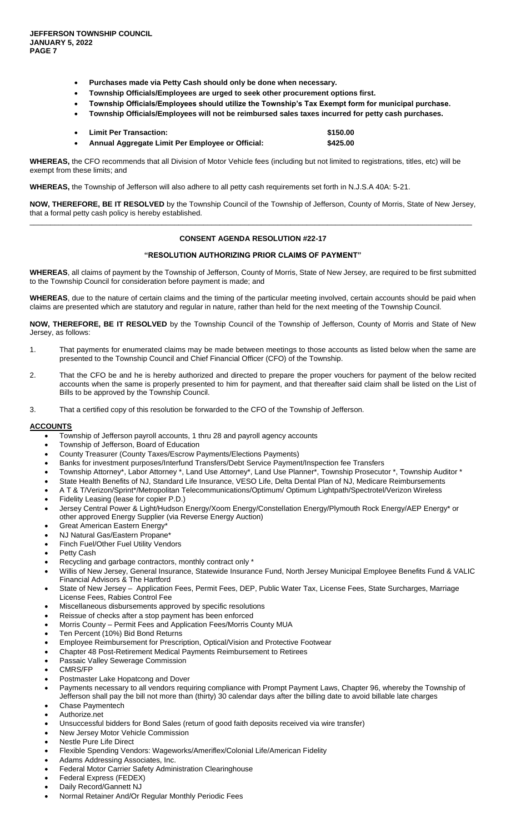- **Purchases made via Petty Cash should only be done when necessary.**
- **Township Officials/Employees are urged to seek other procurement options first.**
- **Township Officials/Employees should utilize the Township's Tax Exempt form for municipal purchase.**
- **Township Officials/Employees will not be reimbursed sales taxes incurred for petty cash purchases.**
- **Limit Per Transaction: \$150.00 Annual Aggregate Limit Per Employee or Official: \$425.00**

**WHEREAS,** the CFO recommends that all Division of Motor Vehicle fees (including but not limited to registrations, titles, etc) will be exempt from these limits; and

**WHEREAS,** the Township of Jefferson will also adhere to all petty cash requirements set forth in N.J.S.A 40A: 5-21.

**NOW, THEREFORE, BE IT RESOLVED** by the Township Council of the Township of Jefferson, County of Morris, State of New Jersey, that a formal petty cash policy is hereby established. \_\_\_\_\_\_\_\_\_\_\_\_\_\_\_\_\_\_\_\_\_\_\_\_\_\_\_\_\_\_\_\_\_\_\_\_\_\_\_\_\_\_\_\_\_\_\_\_\_\_\_\_\_\_\_\_\_\_\_\_\_\_\_\_\_\_\_\_\_\_\_\_\_\_\_\_\_\_\_\_\_\_\_\_\_\_\_\_\_\_\_\_\_\_\_\_\_\_\_\_\_\_\_\_\_\_\_

# **CONSENT AGENDA RESOLUTION #22-17**

#### **"RESOLUTION AUTHORIZING PRIOR CLAIMS OF PAYMENT"**

**WHEREAS**, all claims of payment by the Township of Jefferson, County of Morris, State of New Jersey, are required to be first submitted to the Township Council for consideration before payment is made; and

**WHEREAS**, due to the nature of certain claims and the timing of the particular meeting involved, certain accounts should be paid when claims are presented which are statutory and regular in nature, rather than held for the next meeting of the Township Council.

**NOW, THEREFORE, BE IT RESOLVED** by the Township Council of the Township of Jefferson, County of Morris and State of New Jersey, as follows:

- 1. That payments for enumerated claims may be made between meetings to those accounts as listed below when the same are presented to the Township Council and Chief Financial Officer (CFO) of the Township.
- 2. That the CFO be and he is hereby authorized and directed to prepare the proper vouchers for payment of the below recited accounts when the same is properly presented to him for payment, and that thereafter said claim shall be listed on the List of Bills to be approved by the Township Council.
- 3. That a certified copy of this resolution be forwarded to the CFO of the Township of Jefferson.

#### **ACCOUNTS**

- Township of Jefferson payroll accounts, 1 thru 28 and payroll agency accounts
- Township of Jefferson, Board of Education
- County Treasurer (County Taxes/Escrow Payments/Elections Payments)
- Banks for investment purposes/Interfund Transfers/Debt Service Payment/Inspection fee Transfers
- Township Attorney\*, Labor Attorney \*, Land Use Attorney\*, Land Use Planner\*, Township Prosecutor \*, Township Auditor \*
- State Health Benefits of NJ, Standard Life Insurance, VESO Life, Delta Dental Plan of NJ, Medicare Reimbursements
- A T & T/Verizon/Sprint\*/Metropolitan Telecommunications/Optimum/ Optimum Lightpath/Spectrotel/Verizon Wireless
- Fidelity Leasing (lease for copier P.D.)
- Jersey Central Power & Light/Hudson Energy/Xoom Energy/Constellation Energy/Plymouth Rock Energy/AEP Energy\* or other approved Energy Supplier (via Reverse Energy Auction)
- Great American Eastern Energy\*
- NJ Natural Gas/Eastern Propane\*
- Finch Fuel/Other Fuel Utility Vendors
- Petty Cash
- Recycling and garbage contractors, monthly contract only \*
- Willis of New Jersey, General Insurance, Statewide Insurance Fund, North Jersey Municipal Employee Benefits Fund & VALIC Financial Advisors & The Hartford
- State of New Jersey Application Fees, Permit Fees, DEP, Public Water Tax, License Fees, State Surcharges, Marriage License Fees, Rabies Control Fee
- Miscellaneous disbursements approved by specific resolutions
- Reissue of checks after a stop payment has been enforced
- Morris County Permit Fees and Application Fees/Morris County MUA
- Ten Percent (10%) Bid Bond Returns
- Employee Reimbursement for Prescription, Optical/Vision and Protective Footwear
- Chapter 48 Post-Retirement Medical Payments Reimbursement to Retirees
- Passaic Valley Sewerage Commission CMRS/FP
- Postmaster Lake Hopatcong and Dover
- Payments necessary to all vendors requiring compliance with Prompt Payment Laws, Chapter 96, whereby the Township of
- Jefferson shall pay the bill not more than (thirty) 30 calendar days after the billing date to avoid billable late charges
- Chase Paymentech
- Authorize.net
- Unsuccessful bidders for Bond Sales (return of good faith deposits received via wire transfer)
- New Jersey Motor Vehicle Commission
- Nestle Pure Life Direct
- Flexible Spending Vendors: Wageworks/Ameriflex/Colonial Life/American Fidelity
- Adams Addressing Associates, Inc.
- Federal Motor Carrier Safety Administration Clearinghouse
- Federal Express (FEDEX)
- Daily Record/Gannett NJ
- Normal Retainer And/Or Regular Monthly Periodic Fees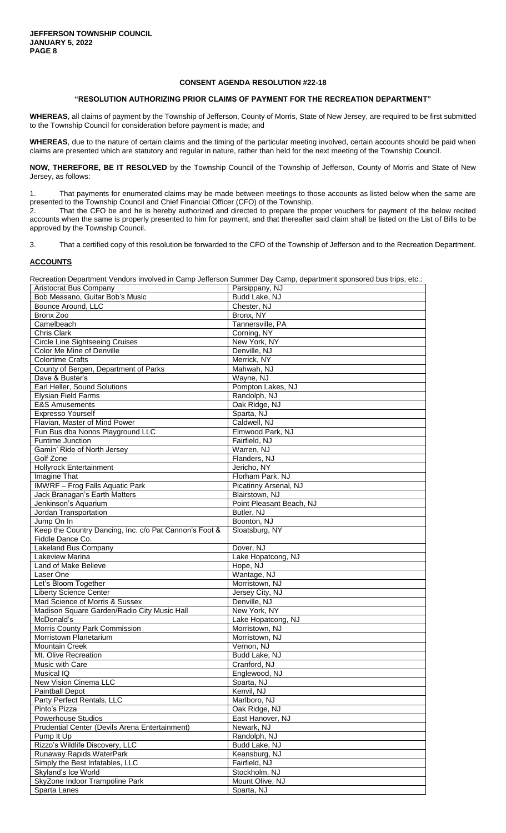# **"RESOLUTION AUTHORIZING PRIOR CLAIMS OF PAYMENT FOR THE RECREATION DEPARTMENT"**

**WHEREAS**, all claims of payment by the Township of Jefferson, County of Morris, State of New Jersey, are required to be first submitted to the Township Council for consideration before payment is made; and

**WHEREAS**, due to the nature of certain claims and the timing of the particular meeting involved, certain accounts should be paid when claims are presented which are statutory and regular in nature, rather than held for the next meeting of the Township Council.

**NOW, THEREFORE, BE IT RESOLVED** by the Township Council of the Township of Jefferson, County of Morris and State of New Jersey, as follows:

1. That payments for enumerated claims may be made between meetings to those accounts as listed below when the same are presented to the Township Council and Chief Financial Officer (CFO) of the Township.

That the CFO be and he is hereby authorized and directed to prepare the proper vouchers for payment of the below recited accounts when the same is properly presented to him for payment, and that thereafter said claim shall be listed on the List of Bills to be approved by the Township Council.

3. That a certified copy of this resolution be forwarded to the CFO of the Township of Jefferson and to the Recreation Department.

# **ACCOUNTS**

Recreation Department Vendors involved in Camp Jefferson Summer Day Camp, department sponsored bus trips, etc.:

| <b>Aristocrat Bus Company</b>                          | Parsippany, NJ           |
|--------------------------------------------------------|--------------------------|
| Bob Messano, Guitar Bob's Music                        | Budd Lake, NJ            |
| Bounce Around, LLC                                     | Chester, NJ              |
| Bronx Zoo                                              | Bronx, NY                |
| Camelbeach                                             | Tannersville, PA         |
| Chris Clark                                            | Corning, NY              |
| <b>Circle Line Sightseeing Cruises</b>                 | New York, NY             |
| Color Me Mine of Denville                              | Denville, NJ             |
| <b>Colortime Crafts</b>                                | Merrick, NY              |
| County of Bergen, Department of Parks                  | Mahwah, NJ               |
| Dave & Buster's                                        | Wayne, NJ                |
| Earl Heller, Sound Solutions                           | Pompton Lakes, NJ        |
| Elysian Field Farms                                    | Randolph, NJ             |
| <b>E&amp;S Amusements</b>                              | Oak Ridge, NJ            |
| <b>Expresso Yourself</b>                               | Sparta, NJ               |
| Flavian, Master of Mind Power                          | Caldwell, NJ             |
| Fun Bus dba Nonos Playground LLC                       | Elmwood Park, NJ         |
| Funtime Junction                                       | Fairfield, NJ            |
| Gamin' Ride of North Jersey                            | Warren, NJ               |
| Golf Zone                                              | Flanders, NJ             |
| <b>Hollyrock Entertainment</b>                         | Jericho, NY              |
| Imagine That                                           | Florham Park, NJ         |
| <b>IMWRF</b> - Frog Falls Aquatic Park                 | Picatinny Arsenal, NJ    |
| Jack Branagan's Earth Matters                          | Blairstown, NJ           |
| Jenkinson's Aquarium                                   | Point Pleasant Beach, NJ |
| Jordan Transportation                                  | Butler, NJ               |
| Jump On In                                             | Boonton, NJ              |
| Keep the Country Dancing, Inc. c/o Pat Cannon's Foot & | Sloatsburg, NY           |
| Fiddle Dance Co.                                       |                          |
| Lakeland Bus Company                                   | Dover, NJ                |
| Lakeview Marina                                        | Lake Hopatcong, NJ       |
| Land of Make Believe                                   | Hope, NJ                 |
| Laser One                                              | Wantage, NJ              |
| Let's Bloom Together                                   | Morristown, NJ           |
| <b>Liberty Science Center</b>                          | Jersey City, NJ          |
| Mad Science of Morris & Sussex                         | Denville, NJ             |
| Madison Square Garden/Radio City Music Hall            | New York, NY             |
| McDonald's                                             | Lake Hopatcong, NJ       |
| Morris County Park Commission                          | Morristown, NJ           |
| Morristown Planetarium                                 | Morristown, NJ           |
| <b>Mountain Creek</b>                                  | Vernon, NJ               |
| Mt. Olive Recreation                                   | Budd Lake, NJ            |
| Music with Care                                        | Cranford, NJ             |
| Musical IQ                                             | Englewood, NJ            |
| New Vision Cinema LLC                                  | Sparta, NJ               |
| Paintball Depot                                        | Kenvil, NJ               |
| Party Perfect Rentals, LLC                             | Marlboro, NJ             |
| Pinto's Pizza                                          | Oak Ridge, NJ            |
| Powerhouse Studios                                     | East Hanover, NJ         |
| Prudential Center (Devils Arena Entertainment)         | Newark, NJ               |
| Pump It Up                                             | Randolph, NJ             |
| Rizzo's Wildlife Discovery, LLC                        | Budd Lake, NJ            |
| Runaway Rapids WaterPark                               | Keansburg, NJ            |
| Simply the Best Infatables, LLC                        | Fairfield, NJ            |
|                                                        | Stockholm, NJ            |
| Skyland's Ice World                                    |                          |
| SkyZone Indoor Trampoline Park                         | Mount Olive, NJ          |
| Sparta Lanes                                           | Sparta, NJ               |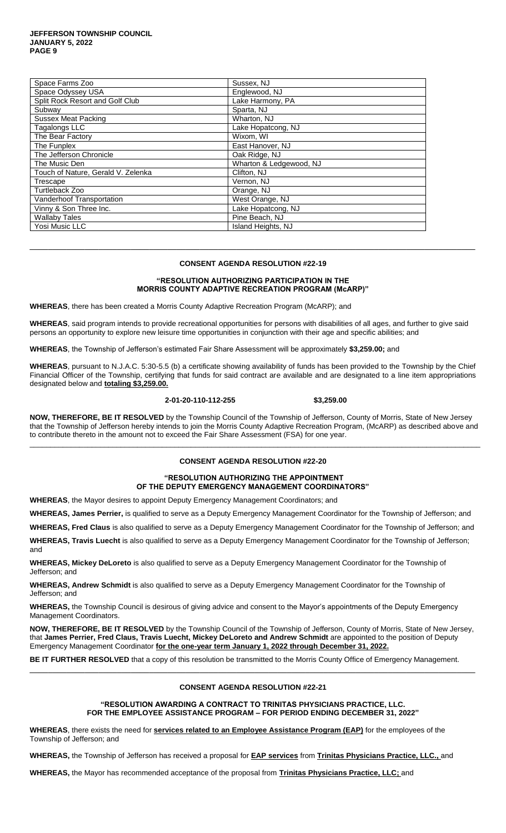#### **JEFFERSON TOWNSHIP COUNCIL JANUARY 5, 2022 PAGE 9**

| Space Farms Zoo                    | Sussex, NJ              |
|------------------------------------|-------------------------|
| Space Odyssey USA                  | Englewood, NJ           |
| Split Rock Resort and Golf Club    | Lake Harmony, PA        |
| Subway                             | Sparta, NJ              |
| <b>Sussex Meat Packing</b>         | Wharton, NJ             |
| Tagalongs LLC                      | Lake Hopatcong, NJ      |
| The Bear Factory                   | Wixom, WI               |
| The Funplex                        | East Hanover, NJ        |
| The Jefferson Chronicle            | Oak Ridge, NJ           |
| The Music Den                      | Wharton & Ledgewood, NJ |
| Touch of Nature, Gerald V. Zelenka | Clifton, NJ             |
| Trescape                           | Vernon, NJ              |
| Turtleback Zoo                     | Orange, NJ              |
| <b>Vanderhoof Transportation</b>   | West Orange, NJ         |
| Vinny & Son Three Inc.             | Lake Hopatcong, NJ      |
| <b>Wallaby Tales</b>               | Pine Beach, NJ          |
| Yosi Music LLC                     | Island Heights, NJ      |

# **CONSENT AGENDA RESOLUTION #22-19**

 $\Box$ 

# **"RESOLUTION AUTHORIZING PARTICIPATION IN THE MORRIS COUNTY ADAPTIVE RECREATION PROGRAM (McARP)"**

**WHEREAS**, there has been created a Morris County Adaptive Recreation Program (McARP); and

**WHEREAS**, said program intends to provide recreational opportunities for persons with disabilities of all ages, and further to give said persons an opportunity to explore new leisure time opportunities in conjunction with their age and specific abilities; and

**WHEREAS**, the Township of Jefferson's estimated Fair Share Assessment will be approximately **\$3,259.00;** and

**WHEREAS**, pursuant to N.J.A.C. 5:30-5.5 (b) a certificate showing availability of funds has been provided to the Township by the Chief Financial Officer of the Township, certifying that funds for said contract are available and are designated to a line item appropriations designated below and **totaling \$3,259.00.**

#### **2-01-20-110-112-255 \$3,259.00**

**NOW, THEREFORE, BE IT RESOLVED** by the Township Council of the Township of Jefferson, County of Morris, State of New Jersey that the Township of Jefferson hereby intends to join the Morris County Adaptive Recreation Program, (McARP) as described above and to contribute thereto in the amount not to exceed the Fair Share Assessment (FSA) for one year.

\_\_\_\_\_\_\_\_\_\_\_\_\_\_\_\_\_\_\_\_\_\_\_\_\_\_\_\_\_\_\_\_\_\_\_\_\_\_\_\_\_\_\_\_\_\_\_\_\_\_\_\_\_\_\_\_\_\_\_\_\_\_\_\_\_\_\_\_\_\_\_\_\_\_\_\_\_\_\_\_\_\_\_\_\_\_\_\_\_\_\_\_\_\_\_\_\_\_\_\_\_\_\_\_\_\_\_\_\_

# **CONSENT AGENDA RESOLUTION #22-20**

#### **"RESOLUTION AUTHORIZING THE APPOINTMENT OF THE DEPUTY EMERGENCY MANAGEMENT COORDINATORS"**

**WHEREAS**, the Mayor desires to appoint Deputy Emergency Management Coordinators; and

**WHEREAS, James Perrier,** is qualified to serve as a Deputy Emergency Management Coordinator for the Township of Jefferson; and

**WHEREAS, Fred Claus** is also qualified to serve as a Deputy Emergency Management Coordinator for the Township of Jefferson; and

**WHEREAS, Travis Luecht** is also qualified to serve as a Deputy Emergency Management Coordinator for the Township of Jefferson; and

**WHEREAS, Mickey DeLoreto** is also qualified to serve as a Deputy Emergency Management Coordinator for the Township of Jefferson; and

**WHEREAS, Andrew Schmidt** is also qualified to serve as a Deputy Emergency Management Coordinator for the Township of Jefferson; and

**WHEREAS,** the Township Council is desirous of giving advice and consent to the Mayor's appointments of the Deputy Emergency Management Coordinators.

**NOW, THEREFORE, BE IT RESOLVED** by the Township Council of the Township of Jefferson, County of Morris, State of New Jersey, that **James Perrier, Fred Claus, Travis Luecht, Mickey DeLoreto and Andrew Schmidt** are appointed to the position of Deputy Emergency Management Coordinator **for the one-year term January 1, 2022 through December 31, 2022.**

**BE IT FURTHER RESOLVED** that a copy of this resolution be transmitted to the Morris County Office of Emergency Management.

#### **CONSENT AGENDA RESOLUTION #22-21**

\_\_\_\_\_\_\_\_\_\_\_\_\_\_\_\_\_\_\_\_\_\_\_\_\_\_\_\_\_\_\_\_\_\_\_\_\_\_\_\_\_\_\_\_\_\_\_\_\_\_\_\_\_\_\_\_\_\_\_\_\_\_\_\_\_\_\_\_\_\_\_\_\_\_\_\_\_\_\_\_\_\_\_\_\_\_\_\_\_\_\_\_\_\_\_\_\_

**"RESOLUTION AWARDING A CONTRACT TO TRINITAS PHYSICIANS PRACTICE, LLC. FOR THE EMPLOYEE ASSISTANCE PROGRAM – FOR PERIOD ENDING DECEMBER 31, 2022"**

**WHEREAS**, there exists the need for **services related to an Employee Assistance Program (EAP)** for the employees of the Township of Jefferson; and

**WHEREAS,** the Township of Jefferson has received a proposal for **EAP services** from **Trinitas Physicians Practice, LLC.,** and

**WHEREAS,** the Mayor has recommended acceptance of the proposal from **Trinitas Physicians Practice, LLC;** and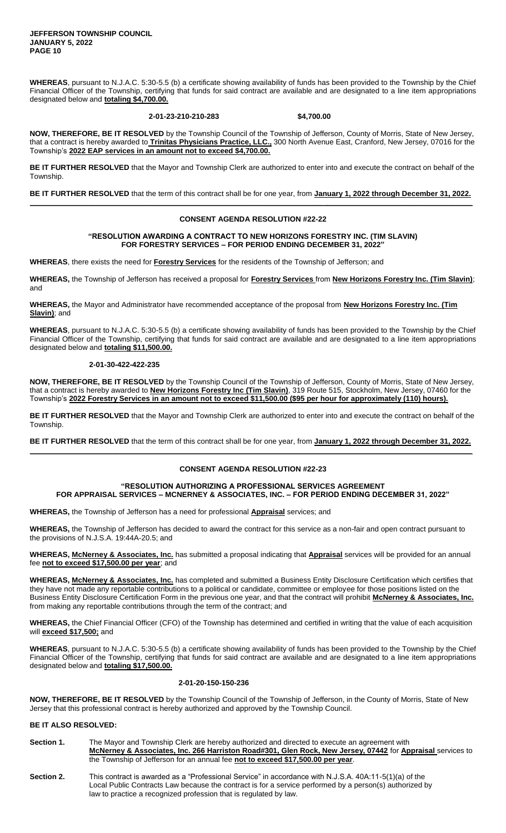**JEFFERSON TOWNSHIP COUNCIL JANUARY 5, 2022 PAGE 10**

**WHEREAS**, pursuant to N.J.A.C. 5:30-5.5 (b) a certificate showing availability of funds has been provided to the Township by the Chief Financial Officer of the Township, certifying that funds for said contract are available and are designated to a line item appropriations designated below and **totaling \$4,700.00.**

#### **2-01-23-210-210-283 \$4,700.00**

**NOW, THEREFORE, BE IT RESOLVED** by the Township Council of the Township of Jefferson, County of Morris, State of New Jersey, that a contract is hereby awarded to **Trinitas Physicians Practice, LLC.,** 300 North Avenue East, Cranford, New Jersey, 07016 for the Township's **2022 EAP services in an amount not to exceed \$4,700.00.**

**BE IT FURTHER RESOLVED** that the Mayor and Township Clerk are authorized to enter into and execute the contract on behalf of the Township.

**BE IT FURTHER RESOLVED** that the term of this contract shall be for one year, from **January 1, 2022 through December 31, 2022. \_\_\_\_\_\_\_\_\_\_\_\_\_\_\_\_\_\_\_\_\_\_\_\_\_\_\_\_\_\_\_\_\_\_\_\_\_\_\_\_\_\_\_\_\_\_\_\_\_\_\_\_\_\_\_\_\_\_\_\_\_\_\_\_\_\_\_\_\_\_\_\_\_\_\_\_\_\_\_\_\_\_\_\_\_\_\_\_\_\_\_\_\_\_\_\_\_\_\_\_\_\_\_\_\_\_\_**

#### **CONSENT AGENDA RESOLUTION #22-22**

#### **"RESOLUTION AWARDING A CONTRACT TO NEW HORIZONS FORESTRY INC. (TIM SLAVIN) FOR FORESTRY SERVICES – FOR PERIOD ENDING DECEMBER 31, 2022"**

**WHEREAS**, there exists the need for **Forestry Services** for the residents of the Township of Jefferson; and

**WHEREAS,** the Township of Jefferson has received a proposal for **Forestry Services** from **New Horizons Forestry Inc. (Tim Slavin)**; and

**WHEREAS,** the Mayor and Administrator have recommended acceptance of the proposal from **New Horizons Forestry Inc. (Tim Slavin)**; and

**WHEREAS**, pursuant to N.J.A.C. 5:30-5.5 (b) a certificate showing availability of funds has been provided to the Township by the Chief Financial Officer of the Township, certifying that funds for said contract are available and are designated to a line item appropriations designated below and **totaling \$11,500.00.**

# **2-01-30-422-422-235**

**NOW, THEREFORE, BE IT RESOLVED** by the Township Council of the Township of Jefferson, County of Morris, State of New Jersey, that a contract is hereby awarded to **New Horizons Forestry Inc (Tim Slavin)**, 319 Route 515, Stockholm, New Jersey, 07460 for the Township's **2022 Forestry Services in an amount not to exceed \$11,500.00 (\$95 per hour for approximately (110) hours).**

**BE IT FURTHER RESOLVED** that the Mayor and Township Clerk are authorized to enter into and execute the contract on behalf of the Township.

**BE IT FURTHER RESOLVED** that the term of this contract shall be for one year, from **January 1, 2022 through December 31, 2022. \_\_\_\_\_\_\_\_\_\_\_\_\_\_\_\_\_\_\_\_\_\_\_\_\_\_\_\_\_\_\_\_\_\_\_\_\_\_\_\_\_\_\_\_\_\_\_\_\_\_\_\_\_\_\_\_\_\_\_\_\_\_\_\_\_\_\_\_\_\_\_\_\_\_\_\_\_\_\_\_\_\_\_\_\_\_\_\_\_\_\_\_\_\_\_\_\_\_\_\_\_\_\_\_\_\_\_**

#### **CONSENT AGENDA RESOLUTION #22-23**

#### **"RESOLUTION AUTHORIZING A PROFESSIONAL SERVICES AGREEMENT FOR APPRAISAL SERVICES – MCNERNEY & ASSOCIATES, INC. – FOR PERIOD ENDING DECEMBER 31, 2022"**

**WHEREAS,** the Township of Jefferson has a need for professional **Appraisal** services; and

**WHEREAS,** the Township of Jefferson has decided to award the contract for this service as a non-fair and open contract pursuant to the provisions of N.J.S.A. 19:44A-20.5; and

**WHEREAS, McNerney & Associates, Inc.** has submitted a proposal indicating that **Appraisal** services will be provided for an annual fee **not to exceed \$17,500.00 per year**; and

**WHEREAS, McNerney & Associates, Inc.** has completed and submitted a Business Entity Disclosure Certification which certifies that they have not made any reportable contributions to a political or candidate, committee or employee for those positions listed on the Business Entity Disclosure Certification Form in the previous one year, and that the contract will prohibit **McNerney & Associates, Inc.**  from making any reportable contributions through the term of the contract; and

**WHEREAS,** the Chief Financial Officer (CFO) of the Township has determined and certified in writing that the value of each acquisition will **exceed \$17,500;** and

**WHEREAS**, pursuant to N.J.A.C. 5:30-5.5 (b) a certificate showing availability of funds has been provided to the Township by the Chief Financial Officer of the Township, certifying that funds for said contract are available and are designated to a line item appropriations designated below and **totaling \$17,500.00.**

#### **2-01-20-150-150-236**

**NOW, THEREFORE, BE IT RESOLVED** by the Township Council of the Township of Jefferson, in the County of Morris, State of New Jersey that this professional contract is hereby authorized and approved by the Township Council.

# **BE IT ALSO RESOLVED:**

**Section 1.** The Mayor and Township Clerk are hereby authorized and directed to execute an agreement with **McNerney & Associates, Inc. 266 Harriston Road#301, Glen Rock, New Jersey, 07442** for **Appraisal** services to the Township of Jefferson for an annual fee **not to exceed \$17,500.00 per year**.

**Section 2.** This contract is awarded as a "Professional Service" in accordance with N.J.S.A. 40A:11-5(1)(a) of the Local Public Contracts Law because the contract is for a service performed by a person(s) authorized by law to practice a recognized profession that is regulated by law.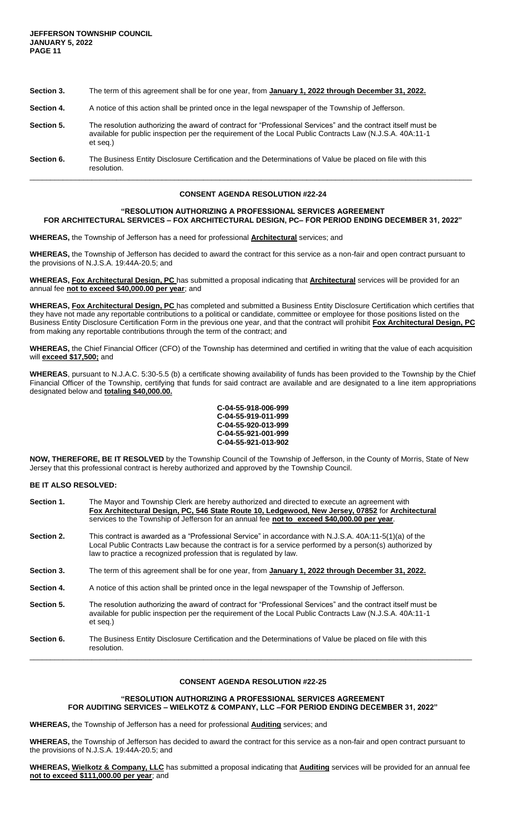| Section 3. | The term of this agreement shall be for one year, from January 1, 2022 through December 31, 2022.                                                                                                                                    |
|------------|--------------------------------------------------------------------------------------------------------------------------------------------------------------------------------------------------------------------------------------|
| Section 4. | A notice of this action shall be printed once in the legal newspaper of the Township of Jefferson.                                                                                                                                   |
| Section 5. | The resolution authorizing the award of contract for "Professional Services" and the contract itself must be<br>available for public inspection per the requirement of the Local Public Contracts Law (N.J.S.A. 40A:11-1<br>et seg.) |
| Section 6. | The Business Entity Disclosure Certification and the Determinations of Value be placed on file with this<br>resolution.                                                                                                              |

\_\_\_\_\_\_\_\_\_\_\_\_\_\_\_\_\_\_\_\_\_\_\_\_\_\_\_\_\_\_\_\_\_\_\_\_\_\_\_\_\_\_\_\_\_\_\_\_\_\_\_\_\_\_\_\_\_\_\_\_\_\_\_\_\_\_\_\_\_\_\_\_\_\_\_\_\_\_\_\_\_\_\_\_\_\_\_\_\_\_\_\_\_\_\_\_\_\_\_\_\_\_\_\_\_\_\_

# **"RESOLUTION AUTHORIZING A PROFESSIONAL SERVICES AGREEMENT FOR ARCHITECTURAL SERVICES – FOX ARCHITECTURAL DESIGN, PC– FOR PERIOD ENDING DECEMBER 31, 2022"**

**WHEREAS,** the Township of Jefferson has a need for professional **Architectural** services; and

**WHEREAS,** the Township of Jefferson has decided to award the contract for this service as a non-fair and open contract pursuant to the provisions of N.J.S.A. 19:44A-20.5; and

**WHEREAS, Fox Architectural Design, PC** has submitted a proposal indicating that **Architectural** services will be provided for an annual fee **not to exceed \$40,000.00 per year**; and

**WHEREAS, Fox Architectural Design, PC** has completed and submitted a Business Entity Disclosure Certification which certifies that they have not made any reportable contributions to a political or candidate, committee or employee for those positions listed on the Business Entity Disclosure Certification Form in the previous one year, and that the contract will prohibit **Fox Architectural Design, PC**  from making any reportable contributions through the term of the contract; and

**WHEREAS,** the Chief Financial Officer (CFO) of the Township has determined and certified in writing that the value of each acquisition will **exceed \$17,500;** and

**WHEREAS**, pursuant to N.J.A.C. 5:30-5.5 (b) a certificate showing availability of funds has been provided to the Township by the Chief Financial Officer of the Township, certifying that funds for said contract are available and are designated to a line item appropriations designated below and **totaling \$40,000.00.**



**NOW, THEREFORE, BE IT RESOLVED** by the Township Council of the Township of Jefferson, in the County of Morris, State of New Jersey that this professional contract is hereby authorized and approved by the Township Council.

#### **BE IT ALSO RESOLVED:**

| Section 1. | The Mayor and Township Clerk are hereby authorized and directed to execute an agreement with<br>Fox Architectural Design, PC, 546 State Route 10, Ledgewood, New Jersey, 07852 for Architectural<br>services to the Township of Jefferson for an annual fee not to exceed \$40,000.00 per year. |
|------------|-------------------------------------------------------------------------------------------------------------------------------------------------------------------------------------------------------------------------------------------------------------------------------------------------|
| Section 2. | This contract is awarded as a "Professional Service" in accordance with N.J.S.A. 40A:11-5(1)(a) of the<br>Local Public Contracts Law because the contract is for a service performed by a person(s) authorized by<br>law to practice a recognized profession that is regulated by law.          |
| Section 3. | The term of this agreement shall be for one year, from January 1, 2022 through December 31, 2022.                                                                                                                                                                                               |
| Section 4. | A notice of this action shall be printed once in the legal newspaper of the Township of Jefferson.                                                                                                                                                                                              |
| Section 5. | The resolution authorizing the award of contract for "Professional Services" and the contract itself must be<br>available for public inspection per the requirement of the Local Public Contracts Law (N.J.S.A. 40A:11-1<br>et seg.)                                                            |
| Section 6. | The Business Entity Disclosure Certification and the Determinations of Value be placed on file with this<br>resolution.                                                                                                                                                                         |

# **CONSENT AGENDA RESOLUTION #22-25**

# **"RESOLUTION AUTHORIZING A PROFESSIONAL SERVICES AGREEMENT FOR AUDITING SERVICES – WIELKOTZ & COMPANY, LLC –FOR PERIOD ENDING DECEMBER 31, 2022"**

**WHEREAS,** the Township of Jefferson has a need for professional **Auditing** services; and

**WHEREAS,** the Township of Jefferson has decided to award the contract for this service as a non-fair and open contract pursuant to the provisions of N.J.S.A. 19:44A-20.5; and

**WHEREAS, Wielkotz & Company, LLC** has submitted a proposal indicating that **Auditing** services will be provided for an annual fee **not to exceed \$111,000.00 per year**; and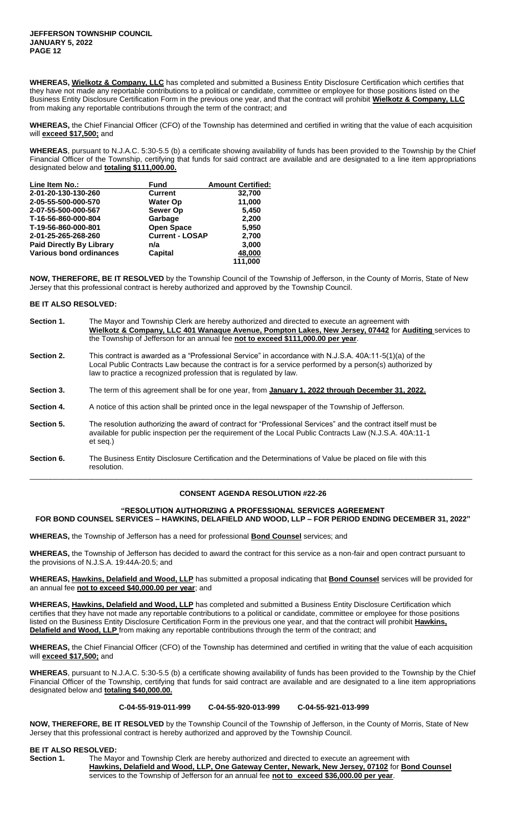**WHEREAS, Wielkotz & Company, LLC** has completed and submitted a Business Entity Disclosure Certification which certifies that they have not made any reportable contributions to a political or candidate, committee or employee for those positions listed on the Business Entity Disclosure Certification Form in the previous one year, and that the contract will prohibit **Wielkotz & Company, LLC**  from making any reportable contributions through the term of the contract; and

**WHEREAS,** the Chief Financial Officer (CFO) of the Township has determined and certified in writing that the value of each acquisition will **exceed \$17,500;** and

**WHEREAS**, pursuant to N.J.A.C. 5:30-5.5 (b) a certificate showing availability of funds has been provided to the Township by the Chief Financial Officer of the Township, certifying that funds for said contract are available and are designated to a line item appropriations designated below and **totaling \$111,000.00.**

| Line Item No.:                  | <b>Fund</b>            | <b>Amount Certified:</b> |
|---------------------------------|------------------------|--------------------------|
| 2-01-20-130-130-260             | <b>Current</b>         | 32,700                   |
| 2-05-55-500-000-570             | <b>Water Op</b>        | 11,000                   |
| 2-07-55-500-000-567             | <b>Sewer Op</b>        | 5,450                    |
| T-16-56-860-000-804             | Garbage                | 2,200                    |
| T-19-56-860-000-801             | <b>Open Space</b>      | 5,950                    |
| 2-01-25-265-268-260             | <b>Current - LOSAP</b> | 2,700                    |
| <b>Paid Directly By Library</b> | n/a                    | 3.000                    |
| Various bond ordinances         | Capital                | 48,000                   |
|                                 |                        | 111.000                  |

**NOW, THEREFORE, BE IT RESOLVED** by the Township Council of the Township of Jefferson, in the County of Morris, State of New Jersey that this professional contract is hereby authorized and approved by the Township Council.

# **BE IT ALSO RESOLVED:**

| Section 1. | The Mayor and Township Clerk are hereby authorized and directed to execute an agreement with<br>Wielkotz & Company, LLC 401 Wanaque Avenue, Pompton Lakes, New Jersey, 07442 for Auditing services to<br>the Township of Jefferson for an annual fee not to exceed \$111,000.00 per year. |  |  |
|------------|-------------------------------------------------------------------------------------------------------------------------------------------------------------------------------------------------------------------------------------------------------------------------------------------|--|--|
| Section 2. | This contract is awarded as a "Professional Service" in accordance with N.J.S.A. 40A:11-5(1)(a) of the<br>Local Public Contracts Law because the contract is for a service performed by a person(s) authorized by<br>law to practice a recognized profession that is regulated by law.    |  |  |
| Section 3. | The term of this agreement shall be for one year, from January 1, 2022 through December 31, 2022.                                                                                                                                                                                         |  |  |
| Section 4. | A notice of this action shall be printed once in the legal newspaper of the Township of Jefferson.                                                                                                                                                                                        |  |  |
| Section 5. | The resolution authorizing the award of contract for "Professional Services" and the contract itself must be<br>available for public inspection per the requirement of the Local Public Contracts Law (N.J.S.A. 40A:11-1<br>et seg.)                                                      |  |  |
| Section 6. | The Business Entity Disclosure Certification and the Determinations of Value be placed on file with this<br>resolution.                                                                                                                                                                   |  |  |

#### **CONSENT AGENDA RESOLUTION #22-26**

# **"RESOLUTION AUTHORIZING A PROFESSIONAL SERVICES AGREEMENT FOR BOND COUNSEL SERVICES – HAWKINS, DELAFIELD AND WOOD, LLP – FOR PERIOD ENDING DECEMBER 31, 2022"**

**WHEREAS,** the Township of Jefferson has a need for professional **Bond Counsel** services; and

**WHEREAS,** the Township of Jefferson has decided to award the contract for this service as a non-fair and open contract pursuant to the provisions of N.J.S.A. 19:44A-20.5; and

**WHEREAS, Hawkins, Delafield and Wood, LLP** has submitted a proposal indicating that **Bond Counsel** services will be provided for an annual fee **not to exceed \$40,000.00 per year**; and

**WHEREAS, Hawkins, Delafield and Wood, LLP** has completed and submitted a Business Entity Disclosure Certification which certifies that they have not made any reportable contributions to a political or candidate, committee or employee for those positions listed on the Business Entity Disclosure Certification Form in the previous one year, and that the contract will prohibit **Hawkins, Delafield and Wood, LLP** from making any reportable contributions through the term of the contract; and

**WHEREAS,** the Chief Financial Officer (CFO) of the Township has determined and certified in writing that the value of each acquisition will **exceed \$17,500;** and

**WHEREAS**, pursuant to N.J.A.C. 5:30-5.5 (b) a certificate showing availability of funds has been provided to the Township by the Chief Financial Officer of the Township, certifying that funds for said contract are available and are designated to a line item appropriations designated below and **totaling \$40,000.00.**

#### **C-04-55-919-011-999 C-04-55-920-013-999 C-04-55-921-013-999**

**NOW, THEREFORE, BE IT RESOLVED** by the Township Council of the Township of Jefferson, in the County of Morris, State of New Jersey that this professional contract is hereby authorized and approved by the Township Council.

# **BE IT ALSO RESOLVED:**<br>**Section 1.** The May

**Section 1.** The Mayor and Township Clerk are hereby authorized and directed to execute an agreement with **Hawkins, Delafield and Wood, LLP, One Gateway Center, Newark, New Jersey, 07102** for **Bond Counsel** services to the Township of Jefferson for an annual fee **not to exceed \$36,000.00 per year**.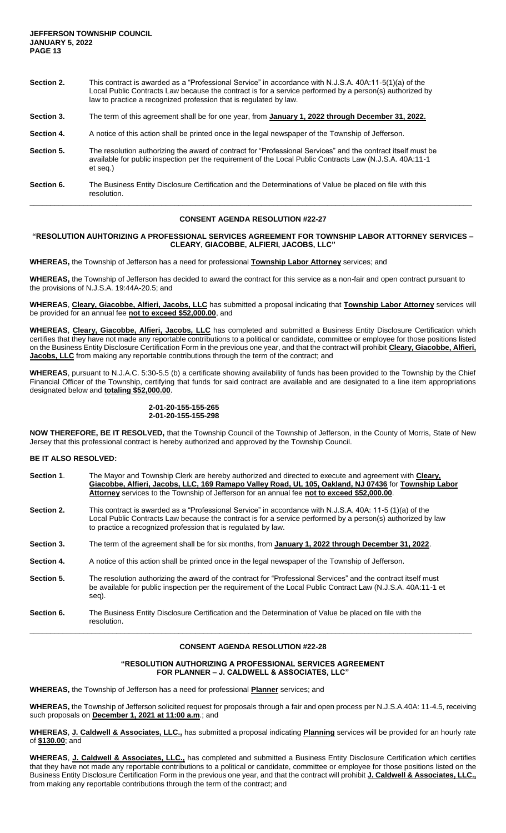| Section 2. | This contract is awarded as a "Professional Service" in accordance with N.J.S.A. 40A:11-5(1)(a) of the<br>Local Public Contracts Law because the contract is for a service performed by a person(s) authorized by<br>law to practice a recognized profession that is regulated by law. |  |
|------------|----------------------------------------------------------------------------------------------------------------------------------------------------------------------------------------------------------------------------------------------------------------------------------------|--|
| Section 3. | The term of this agreement shall be for one year, from January 1, 2022 through December 31, 2022.                                                                                                                                                                                      |  |
| Section 4. | A notice of this action shall be printed once in the legal newspaper of the Township of Jefferson.                                                                                                                                                                                     |  |
| Section 5. | The resolution authorizing the award of contract for "Professional Services" and the contract itself must be<br>available for public inspection per the requirement of the Local Public Contracts Law (N.J.S.A. 40A:11-1<br>et seg.)                                                   |  |
| Section 6. | The Business Entity Disclosure Certification and the Determinations of Value be placed on file with this<br>resolution.                                                                                                                                                                |  |

# **"RESOLUTION AUHTORIZING A PROFESSIONAL SERVICES AGREEMENT FOR TOWNSHIP LABOR ATTORNEY SERVICES – CLEARY, GIACOBBE, ALFIERI, JACOBS, LLC"**

**WHEREAS,** the Township of Jefferson has a need for professional **Township Labor Attorney** services; and

**WHEREAS,** the Township of Jefferson has decided to award the contract for this service as a non-fair and open contract pursuant to the provisions of N.J.S.A. 19:44A-20.5; and

**WHEREAS**, **Cleary, Giacobbe, Alfieri, Jacobs, LLC** has submitted a proposal indicating that **Township Labor Attorney** services will be provided for an annual fee **not to exceed \$52,000.00**, and

**WHEREAS**, **Cleary, Giacobbe, Alfieri, Jacobs, LLC** has completed and submitted a Business Entity Disclosure Certification which certifies that they have not made any reportable contributions to a political or candidate, committee or employee for those positions listed on the Business Entity Disclosure Certification Form in the previous one year, and that the contract will prohibit **Cleary, Giacobbe, Alfieri, Jacobs, LLC** from making any reportable contributions through the term of the contract; and

**WHEREAS**, pursuant to N.J.A.C. 5:30-5.5 (b) a certificate showing availability of funds has been provided to the Township by the Chief Financial Officer of the Township, certifying that funds for said contract are available and are designated to a line item appropriations designated below and **totaling \$52,000.00**.

# **2-01-20-155-155-265 2-01-20-155-155-298**

**NOW THEREFORE, BE IT RESOLVED,** that the Township Council of the Township of Jefferson, in the County of Morris, State of New Jersey that this professional contract is hereby authorized and approved by the Township Council.

#### **BE IT ALSO RESOLVED:**

| Section 1. | The Mayor and Township Clerk are hereby authorized and directed to execute and agreement with Cleary,<br>Giacobbe, Alfieri, Jacobs, LLC, 169 Ramapo Valley Road, UL 105, Oakland, NJ 07436 for Township Labor<br>Attorney services to the Township of Jefferson for an annual fee not to exceed \$52,000.00. |
|------------|--------------------------------------------------------------------------------------------------------------------------------------------------------------------------------------------------------------------------------------------------------------------------------------------------------------|
| Section 2. | This contract is awarded as a "Professional Service" in accordance with N.J.S.A. 40A: 11-5 (1)(a) of the<br>Local Public Contracts Law because the contract is for a service performed by a person(s) authorized by law<br>to practice a recognized profession that is regulated by law.                     |
| Section 3. | The term of the agreement shall be for six months, from January 1, 2022 through December 31, 2022.                                                                                                                                                                                                           |
| Section 4. | A notice of this action shall be printed once in the legal newspaper of the Township of Jefferson.                                                                                                                                                                                                           |
| Section 5. | The resolution authorizing the award of the contract for "Professional Services" and the contract itself must<br>be available for public inspection per the requirement of the Local Public Contract Law (N.J.S.A. 40A:11-1 et<br>seg).                                                                      |

**Section 6.** The Business Entity Disclosure Certification and the Determination of Value be placed on file with the resolution. \_\_\_\_\_\_\_\_\_\_\_\_\_\_\_\_\_\_\_\_\_\_\_\_\_\_\_\_\_\_\_\_\_\_\_\_\_\_\_\_\_\_\_\_\_\_\_\_\_\_\_\_\_\_\_\_\_\_\_\_\_\_\_\_\_\_\_\_\_\_\_\_\_\_\_\_\_\_\_\_\_\_\_\_\_\_\_\_\_\_\_\_\_\_\_\_\_\_\_\_\_\_\_\_\_\_\_

# **CONSENT AGENDA RESOLUTION #22-28**

# **"RESOLUTION AUTHORIZING A PROFESSIONAL SERVICES AGREEMENT FOR PLANNER – J. CALDWELL & ASSOCIATES, LLC"**

**WHEREAS,** the Township of Jefferson has a need for professional **Planner** services; and

**WHEREAS,** the Township of Jefferson solicited request for proposals through a fair and open process per N.J.S.A.40A: 11-4.5, receiving such proposals on **December 1, 2021 at 11:00 a.m**.; and

**WHEREAS**, **J. Caldwell & Associates, LLC.,** has submitted a proposal indicating **Planning** services will be provided for an hourly rate of **\$130.00**; and

**WHEREAS**, **J. Caldwell & Associates, LLC.,** has completed and submitted a Business Entity Disclosure Certification which certifies that they have not made any reportable contributions to a political or candidate, committee or employee for those positions listed on the Business Entity Disclosure Certification Form in the previous one year, and that the contract will prohibit **J. Caldwell & Associates, LLC.,**  from making any reportable contributions through the term of the contract; and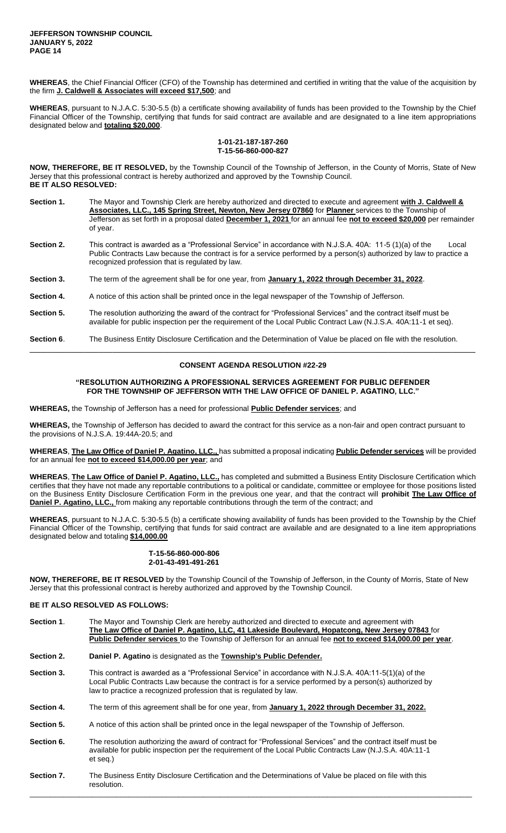**JEFFERSON TOWNSHIP COUNCIL JANUARY 5, 2022 PAGE 14**

**WHEREAS**, the Chief Financial Officer (CFO) of the Township has determined and certified in writing that the value of the acquisition by the firm **J. Caldwell & Associates will exceed \$17,500**; and

**WHEREAS**, pursuant to N.J.A.C. 5:30-5.5 (b) a certificate showing availability of funds has been provided to the Township by the Chief Financial Officer of the Township, certifying that funds for said contract are available and are designated to a line item appropriations designated below and **totaling \$20,000**.

#### **1-01-21-187-187-260 T-15-56-860-000-827**

**NOW, THEREFORE, BE IT RESOLVED,** by the Township Council of the Township of Jefferson, in the County of Morris, State of New Jersey that this professional contract is hereby authorized and approved by the Township Council. **BE IT ALSO RESOLVED:**

| Section 1. | The Mayor and Township Clerk are hereby authorized and directed to execute and agreement with J. Caldwell &<br>Associates, LLC., 145 Spring Street, Newton, New Jersey 07860 for Planner services to the Township of<br>Jefferson as set forth in a proposal dated <b>December 1, 2021</b> for an annual fee not to exceed \$20,000 per remainder<br>of year. |
|------------|---------------------------------------------------------------------------------------------------------------------------------------------------------------------------------------------------------------------------------------------------------------------------------------------------------------------------------------------------------------|
| Section 2. | This contract is awarded as a "Professional Service" in accordance with N.J.S.A. 40A: 11-5 (1)(a) of the<br>Local<br>Public Contracts Law because the contract is for a service performed by a person(s) authorized by law to practice a<br>recognized profession that is regulated by law.                                                                   |

**Section 3.** The term of the agreement shall be for one year, from **January 1, 2022 through December 31, 2022**.

- **Section 4.** A notice of this action shall be printed once in the legal newspaper of the Township of Jefferson.
- **Section 5.** The resolution authorizing the award of the contract for "Professional Services" and the contract itself must be available for public inspection per the requirement of the Local Public Contract Law (N.J.S.A. 40A:11-1 et seq).

#### **Section 6**. The Business Entity Disclosure Certification and the Determination of Value be placed on file with the resolution.

# **CONSENT AGENDA RESOLUTION #22-29**

\_\_\_\_\_\_\_\_\_\_\_\_\_\_\_\_\_\_\_\_\_\_\_\_\_\_\_\_\_\_\_\_\_\_\_\_\_\_\_\_\_\_\_\_\_\_\_\_\_\_\_\_\_\_\_\_\_\_\_\_\_\_\_\_\_\_\_\_\_\_\_\_\_\_\_\_\_\_\_\_\_\_\_\_\_\_\_\_\_\_\_\_\_\_\_\_\_

#### **"RESOLUTION AUTHORIZING A PROFESSIONAL SERVICES AGREEMENT FOR PUBLIC DEFENDER FOR THE TOWNSHIP OF JEFFERSON WITH THE LAW OFFICE OF DANIEL P. AGATINO, LLC."**

**WHEREAS,** the Township of Jefferson has a need for professional **Public Defender services**; and

**WHEREAS,** the Township of Jefferson has decided to award the contract for this service as a non-fair and open contract pursuant to the provisions of N.J.S.A. 19:44A-20.5; and

**WHEREAS**, **The Law Office of Daniel P. Agatino, LLC.,** has submitted a proposal indicating **Public Defender services** will be provided for an annual fee **not to exceed \$14,000.00 per year**; and

**WHEREAS**, **The Law Office of Daniel P. Agatino, LLC.,** has completed and submitted a Business Entity Disclosure Certification which certifies that they have not made any reportable contributions to a political or candidate, committee or employee for those positions listed on the Business Entity Disclosure Certification Form in the previous one year, and that the contract will **prohibit The Law Office of Daniel P. Agatino, LLC.,** from making any reportable contributions through the term of the contract; and

**WHEREAS**, pursuant to N.J.A.C. 5:30-5.5 (b) a certificate showing availability of funds has been provided to the Township by the Chief Financial Officer of the Township, certifying that funds for said contract are available and are designated to a line item appropriations designated below and totaling **\$14,000.00**

# **T-15-56-860-000-806 2-01-43-491-491-261**

**NOW, THEREFORE, BE IT RESOLVED** by the Township Council of the Township of Jefferson, in the County of Morris, State of New Jersey that this professional contract is hereby authorized and approved by the Township Council.

# **BE IT ALSO RESOLVED AS FOLLOWS:**

| Section 1. | The Mayor and Township Clerk are hereby authorized and directed to execute and agreement with<br>The Law Office of Daniel P. Agatino, LLC, 41 Lakeside Boulevard, Hopatcong, New Jersey 07843 for<br>Public Defender services to the Township of Jefferson for an annual fee not to exceed \$14,000.00 per year. |  |  |
|------------|------------------------------------------------------------------------------------------------------------------------------------------------------------------------------------------------------------------------------------------------------------------------------------------------------------------|--|--|
| Section 2. | Daniel P. Agatino is designated as the Township's Public Defender.                                                                                                                                                                                                                                               |  |  |
| Section 3. | This contract is awarded as a "Professional Service" in accordance with N.J.S.A. 40A:11-5(1)(a) of the<br>Local Public Contracts Law because the contract is for a service performed by a person(s) authorized by<br>law to practice a recognized profession that is regulated by law.                           |  |  |
| Section 4. | The term of this agreement shall be for one year, from January 1, 2022 through December 31, 2022.                                                                                                                                                                                                                |  |  |
| Section 5. | A notice of this action shall be printed once in the legal newspaper of the Township of Jefferson.                                                                                                                                                                                                               |  |  |
| Section 6. | The resolution authorizing the award of contract for "Professional Services" and the contract itself must be<br>available for public inspection per the requirement of the Local Public Contracts Law (N.J.S.A. 40A:11-1<br>et seq.)                                                                             |  |  |
| 0.01207    | The Ducinese Entity Disclesure Contification and the Determinations of Value he placed on file with this                                                                                                                                                                                                         |  |  |

**Section 7.** The Business Entity Disclosure Certification and the Determinations of Value be placed on file with this resolution.

\_\_\_\_\_\_\_\_\_\_\_\_\_\_\_\_\_\_\_\_\_\_\_\_\_\_\_\_\_\_\_\_\_\_\_\_\_\_\_\_\_\_\_\_\_\_\_\_\_\_\_\_\_\_\_\_\_\_\_\_\_\_\_\_\_\_\_\_\_\_\_\_\_\_\_\_\_\_\_\_\_\_\_\_\_\_\_\_\_\_\_\_\_\_\_\_\_\_\_\_\_\_\_\_\_\_\_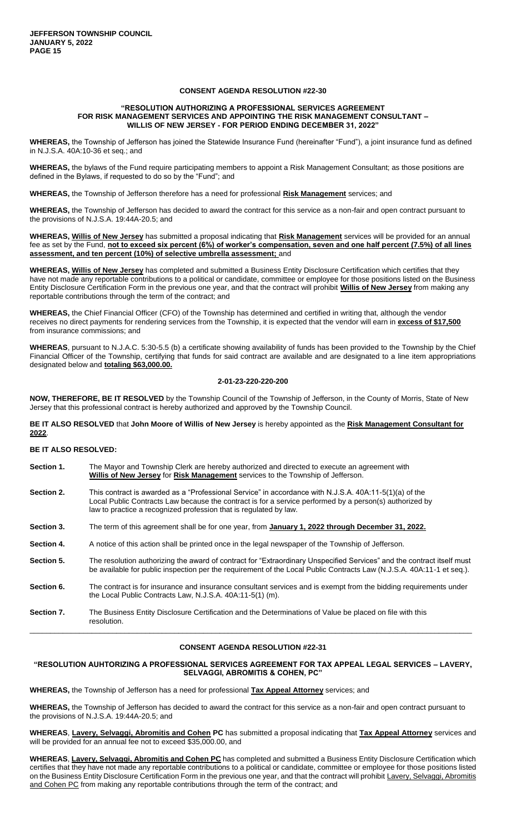#### **"RESOLUTION AUTHORIZING A PROFESSIONAL SERVICES AGREEMENT FOR RISK MANAGEMENT SERVICES AND APPOINTING THE RISK MANAGEMENT CONSULTANT – WILLIS OF NEW JERSEY - FOR PERIOD ENDING DECEMBER 31, 2022"**

**WHEREAS,** the Township of Jefferson has joined the Statewide Insurance Fund (hereinafter "Fund"), a joint insurance fund as defined in N.J.S.A. 40A:10-36 et seq.; and

**WHEREAS,** the bylaws of the Fund require participating members to appoint a Risk Management Consultant; as those positions are defined in the Bylaws, if requested to do so by the "Fund"; and

**WHEREAS,** the Township of Jefferson therefore has a need for professional **Risk Management** services; and

**WHEREAS,** the Township of Jefferson has decided to award the contract for this service as a non-fair and open contract pursuant to the provisions of N.J.S.A. 19:44A-20.5; and

**WHEREAS, Willis of New Jersey** has submitted a proposal indicating that **Risk Management** services will be provided for an annual fee as set by the Fund, **not to exceed six percent (6%) of worker's compensation, seven and one half percent (7.5%) of all lines assessment, and ten percent (10%) of selective umbrella assessment;** and

**WHEREAS, Willis of New Jersey** has completed and submitted a Business Entity Disclosure Certification which certifies that they have not made any reportable contributions to a political or candidate, committee or employee for those positions listed on the Business Entity Disclosure Certification Form in the previous one year, and that the contract will prohibit **Willis of New Jersey** from making any reportable contributions through the term of the contract; and

**WHEREAS,** the Chief Financial Officer (CFO) of the Township has determined and certified in writing that, although the vendor receives no direct payments for rendering services from the Township, it is expected that the vendor will earn in **excess of \$17,500** from insurance commissions; and

**WHEREAS**, pursuant to N.J.A.C. 5:30-5.5 (b) a certificate showing availability of funds has been provided to the Township by the Chief Financial Officer of the Township, certifying that funds for said contract are available and are designated to a line item appropriations designated below and **totaling \$63,000.00.**

#### **2-01-23-220-220-200**

**NOW, THEREFORE, BE IT RESOLVED** by the Township Council of the Township of Jefferson, in the County of Morris, State of New Jersey that this professional contract is hereby authorized and approved by the Township Council.

**BE IT ALSO RESOLVED** that **John Moore of Willis of New Jersey** is hereby appointed as the **Risk Management Consultant for 2022**.

#### **BE IT ALSO RESOLVED:**

**Section 1.** The Mayor and Township Clerk are hereby authorized and directed to execute an agreement with **Willis of New Jersey** for **Risk Management** services to the Township of Jefferson. **Section 2.** This contract is awarded as a "Professional Service" in accordance with N.J.S.A. 40A:11-5(1)(a) of the Local Public Contracts Law because the contract is for a service performed by a person(s) authorized by law to practice a recognized profession that is regulated by law. **Section 3.** The term of this agreement shall be for one year, from **January 1, 2022 through December 31, 2022. Section 4.** A notice of this action shall be printed once in the legal newspaper of the Township of Jefferson. Section 5. The resolution authorizing the award of contract for "Extraordinary Unspecified Services" and the contract itself must be available for public inspection per the requirement of the Local Public Contracts Law (N.J.S.A. 40A:11-1 et seq.). **Section 6.** The contract is for insurance and insurance consultant services and is exempt from the bidding requirements under the Local Public Contracts Law, N.J.S.A. 40A:11-5(1) (m). **Section 7.** The Business Entity Disclosure Certification and the Determinations of Value be placed on file with this resolution. \_\_\_\_\_\_\_\_\_\_\_\_\_\_\_\_\_\_\_\_\_\_\_\_\_\_\_\_\_\_\_\_\_\_\_\_\_\_\_\_\_\_\_\_\_\_\_\_\_\_\_\_\_\_\_\_\_\_\_\_\_\_\_\_\_\_\_\_\_\_\_\_\_\_\_\_\_\_\_\_\_\_\_\_\_\_\_\_\_\_\_\_\_\_\_\_\_\_\_\_\_\_\_\_\_\_\_

#### **CONSENT AGENDA RESOLUTION #22-31**

# **"RESOLUTION AUHTORIZING A PROFESSIONAL SERVICES AGREEMENT FOR TAX APPEAL LEGAL SERVICES – LAVERY, SELVAGGI, ABROMITIS & COHEN, PC"**

**WHEREAS,** the Township of Jefferson has a need for professional **Tax Appeal Attorney** services; and

**WHEREAS,** the Township of Jefferson has decided to award the contract for this service as a non-fair and open contract pursuant to the provisions of N.J.S.A. 19:44A-20.5; and

**WHEREAS**, **Lavery, Selvaggi, Abromitis and Cohen PC** has submitted a proposal indicating that **Tax Appeal Attorney** services and will be provided for an annual fee not to exceed \$35,000.00, and

**WHEREAS**, **Lavery, Selvaggi, Abromitis and Cohen PC** has completed and submitted a Business Entity Disclosure Certification which certifies that they have not made any reportable contributions to a political or candidate, committee or employee for those positions listed on the Business Entity Disclosure Certification Form in the previous one year, and that the contract will prohibit Lavery, Selvaggi, Abromitis and Cohen PC from making any reportable contributions through the term of the contract; and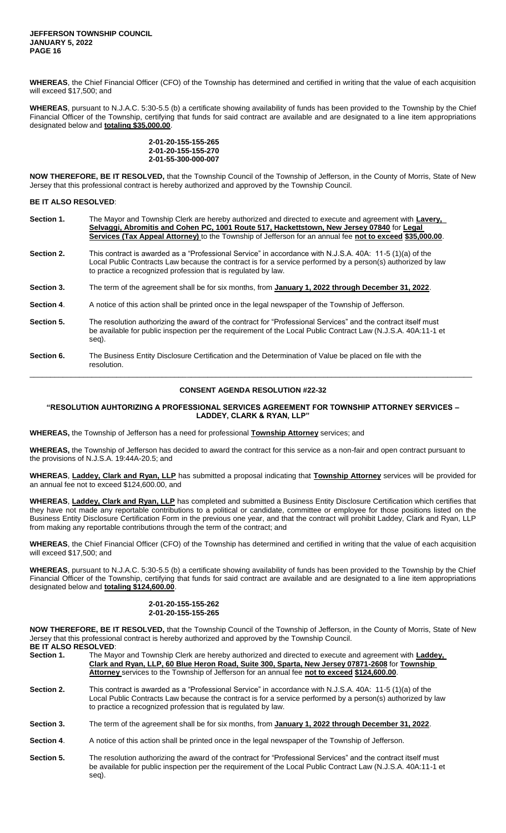**WHEREAS**, the Chief Financial Officer (CFO) of the Township has determined and certified in writing that the value of each acquisition will exceed \$17,500; and

**WHEREAS**, pursuant to N.J.A.C. 5:30-5.5 (b) a certificate showing availability of funds has been provided to the Township by the Chief Financial Officer of the Township, certifying that funds for said contract are available and are designated to a line item appropriations designated below and **totaling \$35,000.00**.

> **2-01-20-155-155-265 2-01-20-155-155-270 2-01-55-300-000-007**

**NOW THEREFORE, BE IT RESOLVED,** that the Township Council of the Township of Jefferson, in the County of Morris, State of New Jersey that this professional contract is hereby authorized and approved by the Township Council.

**BE IT ALSO RESOLVED**:

| Section 1. | The Mayor and Township Clerk are hereby authorized and directed to execute and agreement with Lavery,<br>Selvaggi, Abromitis and Cohen PC, 1001 Route 517, Hackettstown, New Jersey 07840 for Legal<br>Services (Tax Appeal Attorney) to the Township of Jefferson for an annual fee not to exceed \$35,000.00. |  |  |
|------------|-----------------------------------------------------------------------------------------------------------------------------------------------------------------------------------------------------------------------------------------------------------------------------------------------------------------|--|--|
| Section 2. | This contract is awarded as a "Professional Service" in accordance with N.J.S.A. 40A: 11-5 (1)(a) of the<br>Local Public Contracts Law because the contract is for a service performed by a person(s) authorized by law<br>to practice a recognized profession that is regulated by law.                        |  |  |
| Section 3. | The term of the agreement shall be for six months, from January 1, 2022 through December 31, 2022.                                                                                                                                                                                                              |  |  |
| Section 4. | A notice of this action shall be printed once in the legal newspaper of the Township of Jefferson.                                                                                                                                                                                                              |  |  |
| Section 5. | The resolution authorizing the award of the contract for "Professional Services" and the contract itself must<br>be available for public inspection per the requirement of the Local Public Contract Law (N.J.S.A. 40A:11-1 et<br>seg).                                                                         |  |  |
| Section 6. | The Business Entity Disclosure Certification and the Determination of Value be placed on file with the<br>resolution.                                                                                                                                                                                           |  |  |

# \_\_\_\_\_\_\_\_\_\_\_\_\_\_\_\_\_\_\_\_\_\_\_\_\_\_\_\_\_\_\_\_\_\_\_\_\_\_\_\_\_\_\_\_\_\_\_\_\_\_\_\_\_\_\_\_\_\_\_\_\_\_\_\_\_\_\_\_\_\_\_\_\_\_\_\_\_\_\_\_\_\_\_\_\_\_\_\_\_\_\_\_\_\_\_\_\_\_\_\_\_\_\_\_\_\_\_ **CONSENT AGENDA RESOLUTION #22-32**

**"RESOLUTION AUHTORIZING A PROFESSIONAL SERVICES AGREEMENT FOR TOWNSHIP ATTORNEY SERVICES – LADDEY, CLARK & RYAN, LLP"**

**WHEREAS,** the Township of Jefferson has a need for professional **Township Attorney** services; and

**WHEREAS,** the Township of Jefferson has decided to award the contract for this service as a non-fair and open contract pursuant to the provisions of N.J.S.A. 19:44A-20.5; and

**WHEREAS**, **Laddey, Clark and Ryan, LLP** has submitted a proposal indicating that **Township Attorney** services will be provided for an annual fee not to exceed \$124,600.00, and

**WHEREAS**, **Laddey, Clark and Ryan, LLP** has completed and submitted a Business Entity Disclosure Certification which certifies that they have not made any reportable contributions to a political or candidate, committee or employee for those positions listed on the Business Entity Disclosure Certification Form in the previous one year, and that the contract will prohibit Laddey, Clark and Ryan, LLP from making any reportable contributions through the term of the contract; and

**WHEREAS**, the Chief Financial Officer (CFO) of the Township has determined and certified in writing that the value of each acquisition will exceed \$17,500; and

**WHEREAS**, pursuant to N.J.A.C. 5:30-5.5 (b) a certificate showing availability of funds has been provided to the Township by the Chief Financial Officer of the Township, certifying that funds for said contract are available and are designated to a line item appropriations designated below and **totaling \$124,600.00**.

# **2-01-20-155-155-262 2-01-20-155-155-265**

**NOW THEREFORE, BE IT RESOLVED,** that the Township Council of the Township of Jefferson, in the County of Morris, State of New Jersey that this professional contract is hereby authorized and approved by the Township Council. **BE IT ALSO RESOLVED**:

| DE II ALJU NEJULVED. |                                                                                                       |  |  |
|----------------------|-------------------------------------------------------------------------------------------------------|--|--|
| Section 1.           | The Mayor and Township Clerk are hereby authorized and directed to execute and agreement with Laddey, |  |  |
|                      | Clark and Ryan, LLP, 60 Blue Heron Road, Suite 300, Sparta, New Jersey 07871-2608 for Township        |  |  |
|                      | Attorney services to the Township of Jefferson for an annual fee not to exceed \$124,600.00.          |  |  |
|                      |                                                                                                       |  |  |

- **Section 2.** This contract is awarded as a "Professional Service" in accordance with N.J.S.A. 40A: 11-5 (1)(a) of the Local Public Contracts Law because the contract is for a service performed by a person(s) authorized by law to practice a recognized profession that is regulated by law.
- Section 3. The term of the agreement shall be for six months, from January 1, 2022 through December 31, 2022.
- **Section 4**. A notice of this action shall be printed once in the legal newspaper of the Township of Jefferson.
- **Section 5.** The resolution authorizing the award of the contract for "Professional Services" and the contract itself must be available for public inspection per the requirement of the Local Public Contract Law (N.J.S.A. 40A:11-1 et seq).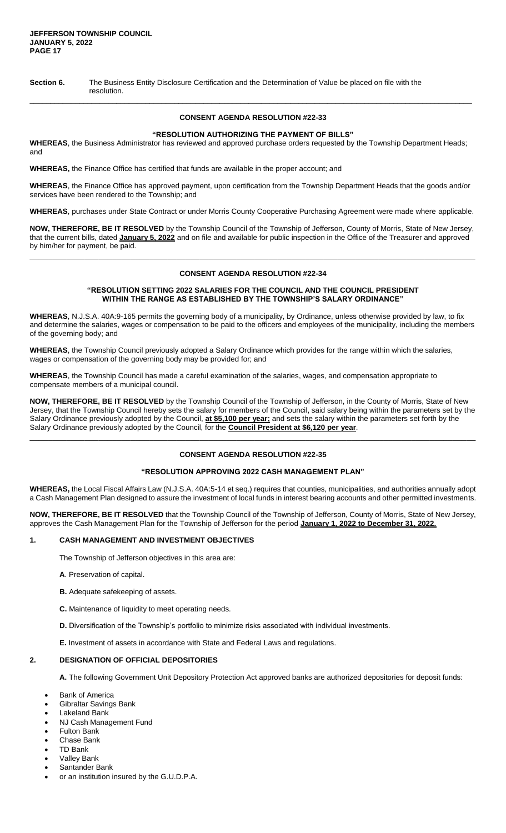**Section 6.** The Business Entity Disclosure Certification and the Determination of Value be placed on file with the resolution.

# **CONSENT AGENDA RESOLUTION #22-33**

\_\_\_\_\_\_\_\_\_\_\_\_\_\_\_\_\_\_\_\_\_\_\_\_\_\_\_\_\_\_\_\_\_\_\_\_\_\_\_\_\_\_\_\_\_\_\_\_\_\_\_\_\_\_\_\_\_\_\_\_\_\_\_\_\_\_\_\_\_\_\_\_\_\_\_\_\_\_\_\_\_\_\_\_\_\_\_\_\_\_\_\_\_\_\_\_\_\_\_\_\_\_\_\_\_\_\_

#### **"RESOLUTION AUTHORIZING THE PAYMENT OF BILLS"**

**WHEREAS**, the Business Administrator has reviewed and approved purchase orders requested by the Township Department Heads; and

**WHEREAS,** the Finance Office has certified that funds are available in the proper account; and

**WHEREAS**, the Finance Office has approved payment, upon certification from the Township Department Heads that the goods and/or services have been rendered to the Township; and

**WHEREAS**, purchases under State Contract or under Morris County Cooperative Purchasing Agreement were made where applicable.

**NOW, THEREFORE, BE IT RESOLVED** by the Township Council of the Township of Jefferson, County of Morris, State of New Jersey, that the current bills, dated **January 5, 2022** and on file and available for public inspection in the Office of the Treasurer and approved by him/her for payment, be paid.

# **CONSENT AGENDA RESOLUTION #22-34**

 $\Box$ 

#### **"RESOLUTION SETTING 2022 SALARIES FOR THE COUNCIL AND THE COUNCIL PRESIDENT WITHIN THE RANGE AS ESTABLISHED BY THE TOWNSHIP'S SALARY ORDINANCE"**

**WHEREAS**, N.J.S.A. 40A:9-165 permits the governing body of a municipality, by Ordinance, unless otherwise provided by law, to fix and determine the salaries, wages or compensation to be paid to the officers and employees of the municipality, including the members of the governing body; and

**WHEREAS**, the Township Council previously adopted a Salary Ordinance which provides for the range within which the salaries, wages or compensation of the governing body may be provided for; and

**WHEREAS**, the Township Council has made a careful examination of the salaries, wages, and compensation appropriate to compensate members of a municipal council.

**NOW, THEREFORE, BE IT RESOLVED** by the Township Council of the Township of Jefferson, in the County of Morris, State of New Jersey, that the Township Council hereby sets the salary for members of the Council, said salary being within the parameters set by the Salary Ordinance previously adopted by the Council, **at \$5,100 per year;** and sets the salary within the parameters set forth by the Salary Ordinance previously adopted by the Council, for the **Council President at \$6,120 per year**. \_\_\_\_\_\_\_\_\_\_\_\_\_\_\_\_\_\_\_\_\_\_\_\_\_\_\_\_\_\_\_\_\_\_\_\_\_\_\_\_\_\_\_\_\_\_\_\_\_\_\_\_\_\_\_\_\_\_\_\_\_\_\_\_\_\_\_\_\_\_\_\_\_\_\_\_\_\_\_\_\_\_\_\_\_\_\_\_\_\_\_\_\_\_\_\_\_

# **CONSENT AGENDA RESOLUTION #22-35**

# **"RESOLUTION APPROVING 2022 CASH MANAGEMENT PLAN"**

**WHEREAS,** the Local Fiscal Affairs Law (N.J.S.A. 40A:5-14 et seq.) requires that counties, municipalities, and authorities annually adopt a Cash Management Plan designed to assure the investment of local funds in interest bearing accounts and other permitted investments.

**NOW, THEREFORE, BE IT RESOLVED** that the Township Council of the Township of Jefferson, County of Morris, State of New Jersey, approves the Cash Management Plan for the Township of Jefferson for the period **January 1, 2022 to December 31, 2022.**

# **1. CASH MANAGEMENT AND INVESTMENT OBJECTIVES**

The Township of Jefferson objectives in this area are:

- **A**. Preservation of capital.
- **B.** Adequate safekeeping of assets.
- **C.** Maintenance of liquidity to meet operating needs.
- **D.** Diversification of the Township's portfolio to minimize risks associated with individual investments.

**E.** Investment of assets in accordance with State and Federal Laws and regulations.

#### **2. DESIGNATION OF OFFICIAL DEPOSITORIES**

**A.** The following Government Unit Depository Protection Act approved banks are authorized depositories for deposit funds:

- Bank of America
- Gibraltar Savings Bank
- Lakeland Bank
- NJ Cash Management Fund
- Fulton Bank
- Chase Bank
- TD Bank
- Valley Bank
- Santander Bank
- or an institution insured by the G.U.D.P.A.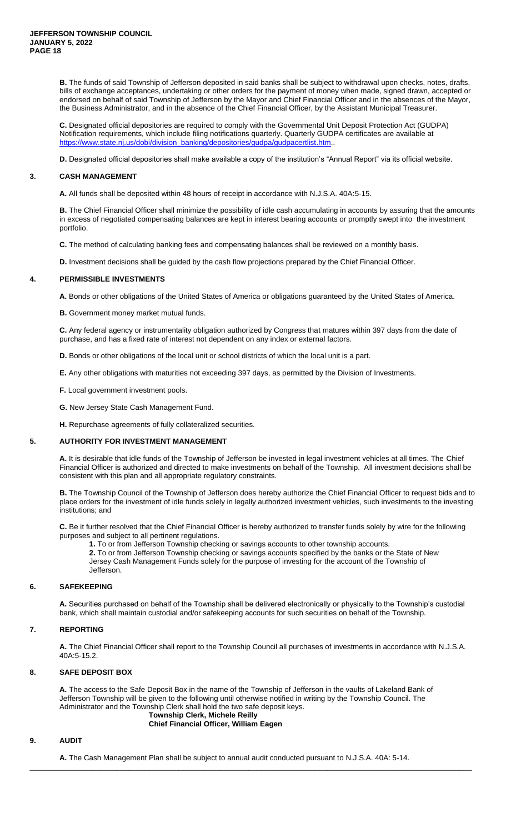**B.** The funds of said Township of Jefferson deposited in said banks shall be subject to withdrawal upon checks, notes, drafts, bills of exchange acceptances, undertaking or other orders for the payment of money when made, signed drawn, accepted or endorsed on behalf of said Township of Jefferson by the Mayor and Chief Financial Officer and in the absences of the Mayor, the Business Administrator, and in the absence of the Chief Financial Officer, by the Assistant Municipal Treasurer.

**C.** Designated official depositories are required to comply with the Governmental Unit Deposit Protection Act (GUDPA) Notification requirements, which include filing notifications quarterly. Quarterly GUDPA certificates are available at [https://www.state.nj.us/dobi/division\\_banking/depositories/gudpa/gudpacertlist.htm.](https://www.state.nj.us/dobi/division_banking/depositories/gudpa/gudpacertlist.htm)..

**D.** Designated official depositories shall make available a copy of the institution's "Annual Report" via its official website.

# **3. CASH MANAGEMENT**

**A.** All funds shall be deposited within 48 hours of receipt in accordance with N.J.S.A. 40A:5-15.

**B.** The Chief Financial Officer shall minimize the possibility of idle cash accumulating in accounts by assuring that the amounts in excess of negotiated compensating balances are kept in interest bearing accounts or promptly swept into the investment portfolio.

**C.** The method of calculating banking fees and compensating balances shall be reviewed on a monthly basis.

**D.** Investment decisions shall be guided by the cash flow projections prepared by the Chief Financial Officer.

# **4. PERMISSIBLE INVESTMENTS**

**A.** Bonds or other obligations of the United States of America or obligations guaranteed by the United States of America.

**B.** Government money market mutual funds.

**C.** Any federal agency or instrumentality obligation authorized by Congress that matures within 397 days from the date of purchase, and has a fixed rate of interest not dependent on any index or external factors.

**D.** Bonds or other obligations of the local unit or school districts of which the local unit is a part.

**E.** Any other obligations with maturities not exceeding 397 days, as permitted by the Division of Investments.

**F.** Local government investment pools.

**G.** New Jersey State Cash Management Fund.

**H.** Repurchase agreements of fully collateralized securities.

#### **5. AUTHORITY FOR INVESTMENT MANAGEMENT**

**A.** It is desirable that idle funds of the Township of Jefferson be invested in legal investment vehicles at all times. The Chief Financial Officer is authorized and directed to make investments on behalf of the Township. All investment decisions shall be consistent with this plan and all appropriate regulatory constraints.

**B.** The Township Council of the Township of Jefferson does hereby authorize the Chief Financial Officer to request bids and to place orders for the investment of idle funds solely in legally authorized investment vehicles, such investments to the investing institutions; and

**C.** Be it further resolved that the Chief Financial Officer is hereby authorized to transfer funds solely by wire for the following purposes and subject to all pertinent regulations.

**1.** To or from Jefferson Township checking or savings accounts to other township accounts.

**2.** To or from Jefferson Township checking or savings accounts specified by the banks or the State of New Jersey Cash Management Funds solely for the purpose of investing for the account of the Township of Jefferson.

#### **6. SAFEKEEPING**

**A.** Securities purchased on behalf of the Township shall be delivered electronically or physically to the Township's custodial bank, which shall maintain custodial and/or safekeeping accounts for such securities on behalf of the Township.

#### **7. REPORTING**

**A.** The Chief Financial Officer shall report to the Township Council all purchases of investments in accordance with N.J.S.A. 40A:5-15.2.

# **8. SAFE DEPOSIT BOX**

**A.** The access to the Safe Deposit Box in the name of the Township of Jefferson in the vaults of Lakeland Bank of Jefferson Township will be given to the following until otherwise notified in writing by the Township Council. The Administrator and the Township Clerk shall hold the two safe deposit keys.

\_\_\_\_\_\_\_\_\_\_\_\_\_\_\_\_\_\_\_\_\_\_\_\_\_\_\_\_\_\_\_\_\_\_\_\_\_\_\_\_\_\_\_\_\_\_\_\_\_\_\_\_\_\_\_\_\_\_\_\_\_\_\_\_\_\_\_\_\_\_\_\_\_\_\_\_\_\_\_\_\_\_\_\_\_\_\_\_\_\_\_\_\_\_\_\_\_\_\_\_\_\_\_\_\_\_\_

#### **Township Clerk, Michele Reilly Chief Financial Officer, William Eagen**

# **9. AUDIT**

**A.** The Cash Management Plan shall be subject to annual audit conducted pursuant to N.J.S.A. 40A: 5-14.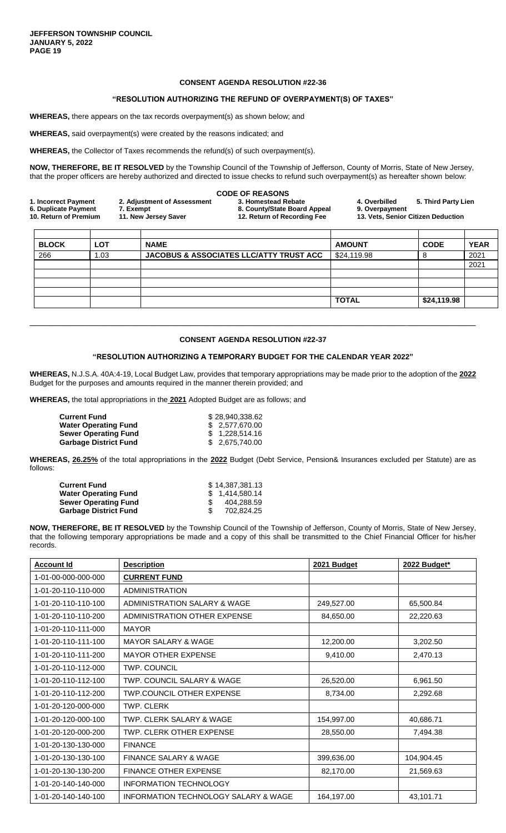# **"RESOLUTION AUTHORIZING THE REFUND OF OVERPAYMENT(S) OF TAXES"**

**WHEREAS,** there appears on the tax records overpayment(s) as shown below; and

**WHEREAS,** said overpayment(s) were created by the reasons indicated; and

**WHEREAS,** the Collector of Taxes recommends the refund(s) of such overpayment(s).

**NOW, THEREFORE, BE IT RESOLVED** by the Township Council of the Township of Jefferson, County of Morris, State of New Jersey, that the proper officers are hereby authorized and directed to issue checks to refund such overpayment(s) as hereafter shown below:

|                       |                             | <b>CODE OF REASONS</b>       |                |                                    |  |
|-----------------------|-----------------------------|------------------------------|----------------|------------------------------------|--|
| 1. Incorrect Payment  | 2. Adjustment of Assessment | 3. Homestead Rebate          | 4. Overbilled  | 5. Third Party Lien                |  |
| 6. Duplicate Payment  | 7. Exempt                   | 8. County/State Board Appeal | 9. Overpayment |                                    |  |
| 10. Return of Premium | 11. New Jersey Saver        | 12. Return of Recording Fee  |                | 13. Vets, Senior Citizen Deduction |  |
|                       |                             |                              |                |                                    |  |
|                       |                             |                              |                |                                    |  |

| <b>BLOCK</b> | <b>LOT</b> | <b>NAME</b>                                        | <b>AMOUNT</b> | <b>CODE</b> | <b>YEAR</b> |
|--------------|------------|----------------------------------------------------|---------------|-------------|-------------|
| 266          | .03        | <b>JACOBUS &amp; ASSOCIATES LLC/ATTY TRUST ACC</b> | \$24,119.98   |             | 2021        |
|              |            |                                                    |               |             | 2021        |
|              |            |                                                    |               |             |             |
|              |            |                                                    |               |             |             |
|              |            |                                                    |               |             |             |
|              |            |                                                    | <b>TOTAL</b>  | \$24,119.98 |             |
|              |            |                                                    |               |             |             |

# **CONSENT AGENDA RESOLUTION #22-37**

\_\_\_\_\_\_\_\_\_\_\_\_\_\_\_\_\_\_\_\_\_\_\_\_\_\_\_\_\_\_\_\_\_\_\_\_\_\_\_\_\_\_\_\_\_\_\_\_\_\_\_\_\_\_\_\_\_\_\_\_\_\_\_\_\_\_\_\_\_\_\_\_\_\_\_\_\_\_\_\_\_\_\_\_\_\_\_\_\_\_\_\_\_\_\_\_\_

# **"RESOLUTION AUTHORIZING A TEMPORARY BUDGET FOR THE CALENDAR YEAR 2022"**

**WHEREAS,** N.J.S.A. 40A:4-19, Local Budget Law, provides that temporary appropriations may be made prior to the adoption of the **2022** Budget for the purposes and amounts required in the manner therein provided; and

**WHEREAS,** the total appropriations in the **2021** Adopted Budget are as follows; and

| <b>Current Fund</b>          | \$28.940.338.62 |
|------------------------------|-----------------|
| <b>Water Operating Fund</b>  | \$ 2.577,670,00 |
| <b>Sewer Operating Fund</b>  | \$ 1.228.514.16 |
| <b>Garbage District Fund</b> | \$2,675,740.00  |

**WHEREAS, 26.25%** of the total appropriations in the **2022** Budget (Debt Service, Pension& Insurances excluded per Statute) are as follows:

| Current Fund                 | \$14.387.381.13 |
|------------------------------|-----------------|
| Water Operating Fund         | \$1,414,580.14  |
| Sewer Operating Fund         | 404.288.59      |
| <b>Garbage District Fund</b> | 702.824.25      |

**NOW, THEREFORE, BE IT RESOLVED** by the Township Council of the Township of Jefferson, County of Morris, State of New Jersey, that the following temporary appropriations be made and a copy of this shall be transmitted to the Chief Financial Officer for his/her records.

| <b>Account Id</b>   | <b>Description</b>                   | 2021 Budget | 2022 Budget* |
|---------------------|--------------------------------------|-------------|--------------|
| 1-01-00-000-000-000 | <b>CURRENT FUND</b>                  |             |              |
| 1-01-20-110-110-000 | <b>ADMINISTRATION</b>                |             |              |
| 1-01-20-110-110-100 | ADMINISTRATION SALARY & WAGE         | 249,527.00  | 65,500.84    |
| 1-01-20-110-110-200 | ADMINISTRATION OTHER EXPENSE         | 84,650.00   | 22,220.63    |
| 1-01-20-110-111-000 | <b>MAYOR</b>                         |             |              |
| 1-01-20-110-111-100 | <b>MAYOR SALARY &amp; WAGE</b>       | 12,200.00   | 3,202.50     |
| 1-01-20-110-111-200 | <b>MAYOR OTHER EXPENSE</b>           | 9,410.00    | 2,470.13     |
| 1-01-20-110-112-000 | <b>TWP. COUNCIL</b>                  |             |              |
| 1-01-20-110-112-100 | TWP. COUNCIL SALARY & WAGE           | 26,520.00   | 6,961.50     |
| 1-01-20-110-112-200 | <b>TWP.COUNCIL OTHER EXPENSE</b>     | 8,734.00    | 2,292.68     |
| 1-01-20-120-000-000 | <b>TWP. CLERK</b>                    |             |              |
| 1-01-20-120-000-100 | TWP. CLERK SALARY & WAGE             | 154,997.00  | 40,686.71    |
| 1-01-20-120-000-200 | TWP. CLERK OTHER EXPENSE             | 28,550.00   | 7,494.38     |
| 1-01-20-130-130-000 | <b>FINANCE</b>                       |             |              |
| 1-01-20-130-130-100 | <b>FINANCE SALARY &amp; WAGE</b>     | 399,636.00  | 104,904.45   |
| 1-01-20-130-130-200 | <b>FINANCE OTHER EXPENSE</b>         | 82,170.00   | 21,569.63    |
| 1-01-20-140-140-000 | <b>INFORMATION TECHNOLOGY</b>        |             |              |
| 1-01-20-140-140-100 | INFORMATION TECHNOLOGY SALARY & WAGE | 164,197.00  | 43,101.71    |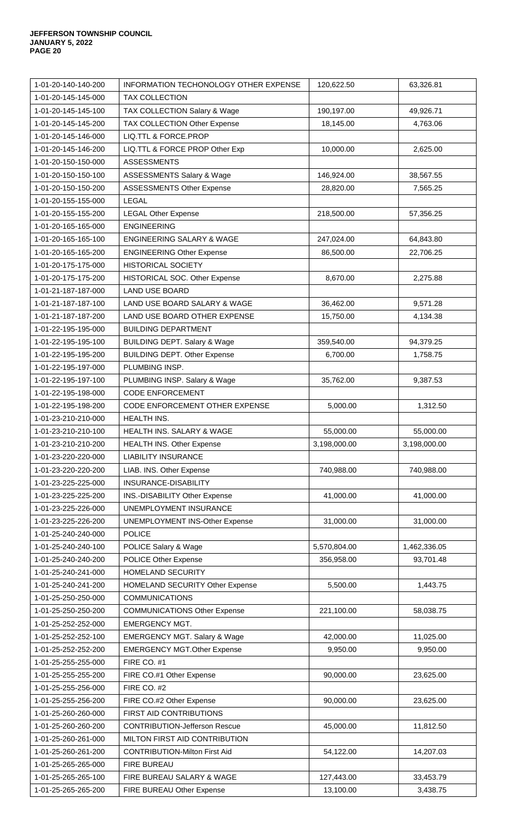| 1-01-20-140-140-200                        | <b>INFORMATION TECHONOLOGY OTHER EXPENSE</b>           | 120,622.50              | 63,326.81             |
|--------------------------------------------|--------------------------------------------------------|-------------------------|-----------------------|
| 1-01-20-145-145-000                        | <b>TAX COLLECTION</b>                                  |                         |                       |
| 1-01-20-145-145-100                        | TAX COLLECTION Salary & Wage                           | 190,197.00              | 49,926.71             |
| 1-01-20-145-145-200                        | TAX COLLECTION Other Expense                           | 18,145.00               | 4,763.06              |
| 1-01-20-145-146-000                        | LIQ.TTL & FORCE.PROP                                   |                         |                       |
| 1-01-20-145-146-200                        | LIQ.TTL & FORCE PROP Other Exp                         | 10,000.00               | 2,625.00              |
| 1-01-20-150-150-000                        | <b>ASSESSMENTS</b>                                     |                         |                       |
| 1-01-20-150-150-100                        | <b>ASSESSMENTS Salary &amp; Wage</b>                   | 146,924.00              | 38,567.55             |
| 1-01-20-150-150-200                        | ASSESSMENTS Other Expense                              | 28,820.00               | 7,565.25              |
| 1-01-20-155-155-000                        | <b>LEGAL</b>                                           |                         |                       |
| 1-01-20-155-155-200                        | <b>LEGAL Other Expense</b>                             | 218,500.00              | 57,356.25             |
| 1-01-20-165-165-000                        | <b>ENGINEERING</b>                                     |                         |                       |
| 1-01-20-165-165-100                        | ENGINEERING SALARY & WAGE                              | 247,024.00              | 64,843.80             |
| 1-01-20-165-165-200                        | <b>ENGINEERING Other Expense</b>                       | 86,500.00               | 22,706.25             |
| 1-01-20-175-175-000                        | <b>HISTORICAL SOCIETY</b>                              |                         |                       |
| 1-01-20-175-175-200                        | HISTORICAL SOC. Other Expense                          | 8,670.00                | 2,275.88              |
| 1-01-21-187-187-000                        | <b>LAND USE BOARD</b>                                  |                         |                       |
| 1-01-21-187-187-100                        | LAND USE BOARD SALARY & WAGE                           | 36,462.00               | 9,571.28              |
| 1-01-21-187-187-200                        | LAND USE BOARD OTHER EXPENSE                           | 15,750.00               | 4,134.38              |
| 1-01-22-195-195-000                        | <b>BUILDING DEPARTMENT</b>                             |                         |                       |
| 1-01-22-195-195-100                        | <b>BUILDING DEPT. Salary &amp; Wage</b>                | 359,540.00              | 94,379.25             |
| 1-01-22-195-195-200                        | <b>BUILDING DEPT. Other Expense</b>                    | 6,700.00                | 1,758.75              |
| 1-01-22-195-197-000                        | PLUMBING INSP.                                         |                         |                       |
| 1-01-22-195-197-100                        | PLUMBING INSP. Salary & Wage                           | 35,762.00               | 9,387.53              |
| 1-01-22-195-198-000                        | <b>CODE ENFORCEMENT</b>                                |                         |                       |
| 1-01-22-195-198-200                        | CODE ENFORCEMENT OTHER EXPENSE                         | 5,000.00                | 1,312.50              |
| 1-01-23-210-210-000                        | HEALTH INS.                                            |                         |                       |
| 1-01-23-210-210-100                        | HEALTH INS. SALARY & WAGE                              | 55,000.00               | 55,000.00             |
| 1-01-23-210-210-200                        | <b>HEALTH INS. Other Expense</b>                       | 3,198,000.00            | 3,198,000.00          |
| 1-01-23-220-220-000                        | <b>LIABILITY INSURANCE</b>                             |                         |                       |
| 1-01-23-220-220-200                        | LIAB. INS. Other Expense                               | 740,988.00              | 740,988.00            |
| 1-01-23-225-225-000                        | INSURANCE-DISABILITY                                   |                         |                       |
| 1-01-23-225-225-200                        | INS.-DISABILITY Other Expense                          | 41,000.00               | 41,000.00             |
| 1-01-23-225-226-000                        | UNEMPLOYMENT INSURANCE                                 |                         |                       |
| 1-01-23-225-226-200                        | <b>UNEMPLOYMENT INS-Other Expense</b>                  | 31,000.00               | 31,000.00             |
| 1-01-25-240-240-000                        | <b>POLICE</b>                                          |                         |                       |
| 1-01-25-240-240-100                        | POLICE Salary & Wage                                   | 5,570,804.00            | 1,462,336.05          |
| 1-01-25-240-240-200                        | <b>POLICE Other Expense</b>                            | 356,958.00              | 93,701.48             |
| 1-01-25-240-241-000                        | <b>HOMELAND SECURITY</b>                               |                         |                       |
| 1-01-25-240-241-200                        | HOMELAND SECURITY Other Expense                        | 5,500.00                | 1,443.75              |
| 1-01-25-250-250-000                        | <b>COMMUNICATIONS</b>                                  |                         |                       |
| 1-01-25-250-250-200                        |                                                        |                         |                       |
|                                            |                                                        |                         |                       |
| 1-01-25-252-252-000                        | <b>COMMUNICATIONS Other Expense</b>                    | 221,100.00              | 58,038.75             |
|                                            | <b>EMERGENCY MGT.</b>                                  |                         |                       |
| 1-01-25-252-252-100                        | <b>EMERGENCY MGT. Salary &amp; Wage</b>                | 42,000.00               | 11,025.00             |
| 1-01-25-252-252-200<br>1-01-25-255-255-000 | <b>EMERGENCY MGT.Other Expense</b>                     | 9,950.00                | 9,950.00              |
| 1-01-25-255-255-200                        | FIRE CO. #1                                            |                         |                       |
|                                            | FIRE CO.#1 Other Expense                               | 90,000.00               | 23,625.00             |
| 1-01-25-255-256-000<br>1-01-25-255-256-200 | FIRE CO. #2                                            |                         |                       |
|                                            | FIRE CO.#2 Other Expense                               | 90,000.00               | 23,625.00             |
| 1-01-25-260-260-000<br>1-01-25-260-260-200 | FIRST AID CONTRIBUTIONS                                |                         |                       |
|                                            | <b>CONTRIBUTION-Jefferson Rescue</b>                   | 45,000.00               | 11,812.50             |
| 1-01-25-260-261-000                        | MILTON FIRST AID CONTRIBUTION                          |                         |                       |
| 1-01-25-260-261-200                        | <b>CONTRIBUTION-Milton First Aid</b>                   | 54,122.00               | 14,207.03             |
| 1-01-25-265-265-000                        | <b>FIRE BUREAU</b>                                     |                         |                       |
| 1-01-25-265-265-100<br>1-01-25-265-265-200 | FIRE BUREAU SALARY & WAGE<br>FIRE BUREAU Other Expense | 127,443.00<br>13,100.00 | 33,453.79<br>3,438.75 |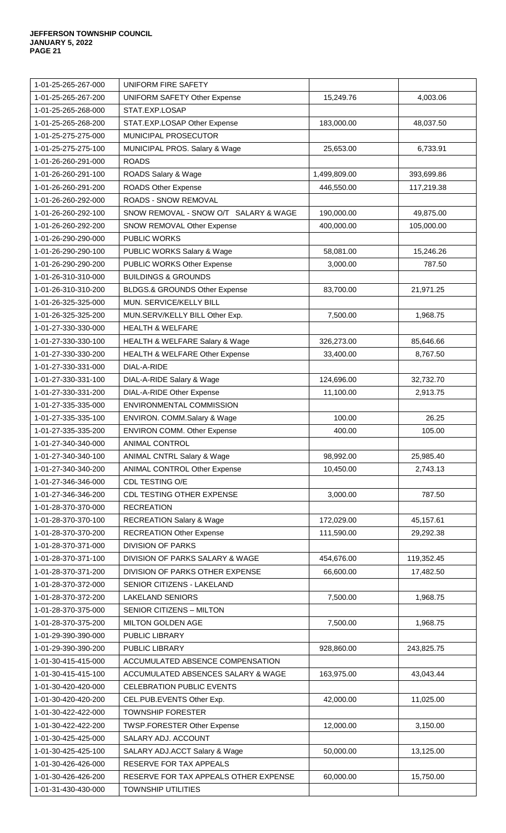| 1-01-25-265-267-000                        | <b>UNIFORM FIRE SAFETY</b>            |              |            |
|--------------------------------------------|---------------------------------------|--------------|------------|
| 1-01-25-265-267-200                        | <b>UNIFORM SAFETY Other Expense</b>   | 15,249.76    | 4,003.06   |
| 1-01-25-265-268-000                        | STAT.EXP.LOSAP                        |              |            |
| 1-01-25-265-268-200                        | STAT.EXP.LOSAP Other Expense          | 183,000.00   | 48,037.50  |
| 1-01-25-275-275-000                        | MUNICIPAL PROSECUTOR                  |              |            |
| 1-01-25-275-275-100                        | MUNICIPAL PROS. Salary & Wage         | 25,653.00    | 6,733.91   |
| 1-01-26-260-291-000                        | <b>ROADS</b>                          |              |            |
| 1-01-26-260-291-100                        | ROADS Salary & Wage                   | 1,499,809.00 | 393,699.86 |
| 1-01-26-260-291-200                        | <b>ROADS Other Expense</b>            | 446,550.00   | 117,219.38 |
| 1-01-26-260-292-000                        | ROADS - SNOW REMOVAL                  |              |            |
| 1-01-26-260-292-100                        | SNOW REMOVAL - SNOW O/T SALARY & WAGE | 190,000.00   | 49,875.00  |
| 1-01-26-260-292-200                        | SNOW REMOVAL Other Expense            | 400,000.00   | 105,000.00 |
| 1-01-26-290-290-000                        | <b>PUBLIC WORKS</b>                   |              |            |
| 1-01-26-290-290-100                        | PUBLIC WORKS Salary & Wage            | 58,081.00    | 15,246.26  |
| 1-01-26-290-290-200                        | PUBLIC WORKS Other Expense            | 3,000.00     | 787.50     |
| 1-01-26-310-310-000                        | <b>BUILDINGS &amp; GROUNDS</b>        |              |            |
| 1-01-26-310-310-200                        | BLDGS.& GROUNDS Other Expense         | 83,700.00    | 21,971.25  |
| 1-01-26-325-325-000                        | MUN. SERVICE/KELLY BILL               |              |            |
| 1-01-26-325-325-200                        | MUN.SERV/KELLY BILL Other Exp.        | 7,500.00     | 1,968.75   |
| 1-01-27-330-330-000                        | <b>HEALTH &amp; WELFARE</b>           |              |            |
| 1-01-27-330-330-100                        | HEALTH & WELFARE Salary & Wage        | 326,273.00   | 85,646.66  |
| 1-01-27-330-330-200                        | HEALTH & WELFARE Other Expense        | 33,400.00    | 8,767.50   |
| 1-01-27-330-331-000                        | DIAL-A-RIDE                           |              |            |
| 1-01-27-330-331-100                        | DIAL-A-RIDE Salary & Wage             | 124,696.00   | 32,732.70  |
| 1-01-27-330-331-200                        | DIAL-A-RIDE Other Expense             | 11,100.00    | 2,913.75   |
| 1-01-27-335-335-000                        | ENVIRONMENTAL COMMISSION              |              |            |
| 1-01-27-335-335-100                        | ENVIRON. COMM.Salary & Wage           | 100.00       | 26.25      |
| 1-01-27-335-335-200                        | <b>ENVIRON COMM. Other Expense</b>    | 400.00       | 105.00     |
| 1-01-27-340-340-000                        | ANIMAL CONTROL                        |              |            |
| 1-01-27-340-340-100                        | <b>ANIMAL CNTRL Salary &amp; Wage</b> | 98,992.00    | 25,985.40  |
| 1-01-27-340-340-200                        | <b>ANIMAL CONTROL Other Expense</b>   | 10,450.00    | 2,743.13   |
| 1-01-27-346-346-000                        | CDL TESTING O/E                       |              |            |
| 1-01-27-346-346-200                        | CDL TESTING OTHER EXPENSE             | 3,000.00     | 787.50     |
| 1-01-28-370-370-000                        | <b>RECREATION</b>                     |              |            |
| 1-01-28-370-370-100                        | <b>RECREATION Salary &amp; Wage</b>   | 172,029.00   | 45,157.61  |
| 1-01-28-370-370-200                        | <b>RECREATION Other Expense</b>       | 111,590.00   | 29,292.38  |
| 1-01-28-370-371-000                        | <b>DIVISION OF PARKS</b>              |              |            |
| 1-01-28-370-371-100                        | DIVISION OF PARKS SALARY & WAGE       | 454,676.00   | 119,352.45 |
| 1-01-28-370-371-200                        | DIVISION OF PARKS OTHER EXPENSE       | 66,600.00    | 17,482.50  |
| 1-01-28-370-372-000                        | SENIOR CITIZENS - LAKELAND            |              |            |
| 1-01-28-370-372-200                        | <b>LAKELAND SENIORS</b>               | 7,500.00     | 1,968.75   |
| 1-01-28-370-375-000                        | SENIOR CITIZENS - MILTON              |              |            |
| 1-01-28-370-375-200                        | <b>MILTON GOLDEN AGE</b>              | 7,500.00     | 1,968.75   |
|                                            |                                       |              |            |
| 1-01-29-390-390-000<br>1-01-29-390-390-200 | PUBLIC LIBRARY<br>PUBLIC LIBRARY      | 928,860.00   | 243,825.75 |
|                                            |                                       |              |            |
| 1-01-30-415-415-000                        | ACCUMULATED ABSENCE COMPENSATION      |              |            |
| 1-01-30-415-415-100                        | ACCUMULATED ABSENCES SALARY & WAGE    | 163,975.00   | 43,043.44  |
| 1-01-30-420-420-000                        | <b>CELEBRATION PUBLIC EVENTS</b>      |              |            |
| 1-01-30-420-420-200                        | CEL.PUB.EVENTS Other Exp.             | 42,000.00    | 11,025.00  |
| 1-01-30-422-422-000                        | <b>TOWNSHIP FORESTER</b>              |              |            |
| 1-01-30-422-422-200                        | TWSP.FORESTER Other Expense           | 12,000.00    | 3,150.00   |
| 1-01-30-425-425-000                        | SALARY ADJ. ACCOUNT                   |              |            |
| 1-01-30-425-425-100                        | SALARY ADJ.ACCT Salary & Wage         | 50,000.00    | 13,125.00  |
| 1-01-30-426-426-000                        | RESERVE FOR TAX APPEALS               |              |            |
| 1-01-30-426-426-200                        | RESERVE FOR TAX APPEALS OTHER EXPENSE | 60,000.00    | 15,750.00  |
| 1-01-31-430-430-000                        | <b>TOWNSHIP UTILITIES</b>             |              |            |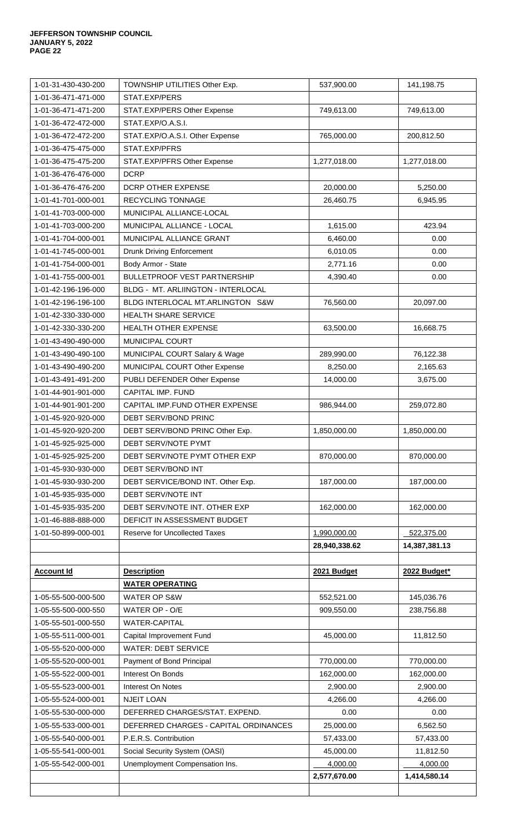| 1-01-31-430-430-200 | TOWNSHIP UTILITIES Other Exp.         | 537,900.00    | 141,198.75    |
|---------------------|---------------------------------------|---------------|---------------|
| 1-01-36-471-471-000 | STAT.EXP/PERS                         |               |               |
| 1-01-36-471-471-200 | STAT.EXP/PERS Other Expense           | 749,613.00    | 749,613.00    |
| 1-01-36-472-472-000 | STAT.EXP/O.A.S.I.                     |               |               |
| 1-01-36-472-472-200 | STAT.EXP/O.A.S.I. Other Expense       | 765,000.00    | 200,812.50    |
| 1-01-36-475-475-000 | STAT.EXP/PFRS                         |               |               |
| 1-01-36-475-475-200 | STAT.EXP/PFRS Other Expense           | 1,277,018.00  | 1,277,018.00  |
| 1-01-36-476-476-000 | <b>DCRP</b>                           |               |               |
| 1-01-36-476-476-200 | <b>DCRP OTHER EXPENSE</b>             | 20,000.00     | 5,250.00      |
| 1-01-41-701-000-001 | RECYCLING TONNAGE                     | 26,460.75     | 6,945.95      |
| 1-01-41-703-000-000 | MUNICIPAL ALLIANCE-LOCAL              |               |               |
| 1-01-41-703-000-200 | MUNICIPAL ALLIANCE - LOCAL            | 1,615.00      | 423.94        |
| 1-01-41-704-000-001 | MUNICIPAL ALLIANCE GRANT              | 6,460.00      | 0.00          |
| 1-01-41-745-000-001 | <b>Drunk Driving Enforcement</b>      | 6,010.05      | 0.00          |
| 1-01-41-754-000-001 | Body Armor - State                    | 2,771.16      | 0.00          |
| 1-01-41-755-000-001 | <b>BULLETPROOF VEST PARTNERSHIP</b>   | 4,390.40      | 0.00          |
| 1-01-42-196-196-000 | BLDG - MT. ARLIINGTON - INTERLOCAL    |               |               |
| 1-01-42-196-196-100 | BLDG INTERLOCAL MT.ARLINGTON S&W      | 76,560.00     | 20,097.00     |
| 1-01-42-330-330-000 | HEALTH SHARE SERVICE                  |               |               |
| 1-01-42-330-330-200 | <b>HEALTH OTHER EXPENSE</b>           | 63,500.00     | 16,668.75     |
| 1-01-43-490-490-000 | MUNICIPAL COURT                       |               |               |
| 1-01-43-490-490-100 | MUNICIPAL COURT Salary & Wage         | 289,990.00    | 76,122.38     |
| 1-01-43-490-490-200 | MUNICIPAL COURT Other Expense         | 8,250.00      | 2,165.63      |
| 1-01-43-491-491-200 | PUBLI DEFENDER Other Expense          | 14,000.00     | 3,675.00      |
| 1-01-44-901-901-000 | CAPITAL IMP. FUND                     |               |               |
| 1-01-44-901-901-200 | CAPITAL IMP.FUND OTHER EXPENSE        | 986,944.00    | 259,072.80    |
| 1-01-45-920-920-000 | DEBT SERV/BOND PRINC                  |               |               |
| 1-01-45-920-920-200 | DEBT SERV/BOND PRINC Other Exp.       | 1,850,000.00  | 1,850,000.00  |
| 1-01-45-925-925-000 | DEBT SERV/NOTE PYMT                   |               |               |
| 1-01-45-925-925-200 | DEBT SERV/NOTE PYMT OTHER EXP         | 870,000.00    | 870,000.00    |
| 1-01-45-930-930-000 | DEBT SERV/BOND INT                    |               |               |
| 1-01-45-930-930-200 | DEBT SERVICE/BOND INT. Other Exp.     | 187,000.00    | 187,000.00    |
| 1-01-45-935-935-000 | DEBT SERV/NOTE INT                    |               |               |
| 1-01-45-935-935-200 | DEBT SERV/NOTE INT. OTHER EXP         | 162,000.00    | 162,000.00    |
| 1-01-46-888-888-000 | DEFICIT IN ASSESSMENT BUDGET          |               |               |
| 1-01-50-899-000-001 | Reserve for Uncollected Taxes         | 1,990,000.00  | 522,375.00    |
|                     |                                       | 28,940,338.62 | 14,387,381.13 |
|                     |                                       |               |               |
| <b>Account Id</b>   | <b>Description</b>                    | 2021 Budget   | 2022 Budget*  |
|                     | <b>WATER OPERATING</b>                |               |               |
| 1-05-55-500-000-500 | <b>WATER OP S&amp;W</b>               | 552,521.00    | 145,036.76    |
| 1-05-55-500-000-550 | WATER OP - O/E                        | 909,550.00    | 238,756.88    |
| 1-05-55-501-000-550 | <b>WATER-CAPITAL</b>                  |               |               |
| 1-05-55-511-000-001 | Capital Improvement Fund              | 45,000.00     | 11,812.50     |
| 1-05-55-520-000-000 | <b>WATER: DEBT SERVICE</b>            |               |               |
| 1-05-55-520-000-001 | Payment of Bond Principal             | 770,000.00    | 770,000.00    |
| 1-05-55-522-000-001 | Interest On Bonds                     | 162,000.00    | 162,000.00    |
| 1-05-55-523-000-001 | Interest On Notes                     | 2,900.00      | 2,900.00      |
| 1-05-55-524-000-001 | <b>NJEIT LOAN</b>                     | 4,266.00      | 4,266.00      |
| 1-05-55-530-000-000 | DEFERRED CHARGES/STAT. EXPEND.        | 0.00          | 0.00          |
| 1-05-55-533-000-001 | DEFERRED CHARGES - CAPITAL ORDINANCES | 25,000.00     | 6,562.50      |
| 1-05-55-540-000-001 | P.E.R.S. Contribution                 | 57,433.00     | 57,433.00     |
| 1-05-55-541-000-001 | Social Security System (OASI)         | 45,000.00     | 11,812.50     |
| 1-05-55-542-000-001 | Unemployment Compensation Ins.        | 4,000.00      | 4,000.00      |
|                     |                                       | 2,577,670.00  | 1,414,580.14  |
|                     |                                       |               |               |